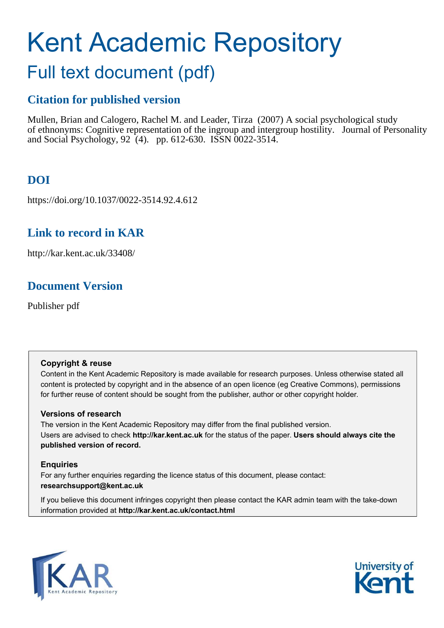# Kent Academic Repository

## Full text document (pdf)

## **Citation for published version**

Mullen, Brian and Calogero, Rachel M. and Leader, Tirza (2007) A social psychological study of ethnonyms: Cognitive representation of the ingroup and intergroup hostility. Journal of Personality and Social Psychology, 92 (4). pp. 612-630. ISSN 0022-3514.

## **DOI**

https://doi.org/10.1037/0022-3514.92.4.612

## **Link to record in KAR**

http://kar.kent.ac.uk/33408/

## **Document Version**

Publisher pdf

#### **Copyright & reuse**

Content in the Kent Academic Repository is made available for research purposes. Unless otherwise stated all content is protected by copyright and in the absence of an open licence (eg Creative Commons), permissions for further reuse of content should be sought from the publisher, author or other copyright holder.

#### **Versions of research**

The version in the Kent Academic Repository may differ from the final published version. Users are advised to check **http://kar.kent.ac.uk** for the status of the paper. **Users should always cite the published version of record.**

#### **Enquiries**

For any further enquiries regarding the licence status of this document, please contact: **researchsupport@kent.ac.uk**

If you believe this document infringes copyright then please contact the KAR admin team with the take-down information provided at **http://kar.kent.ac.uk/contact.html**



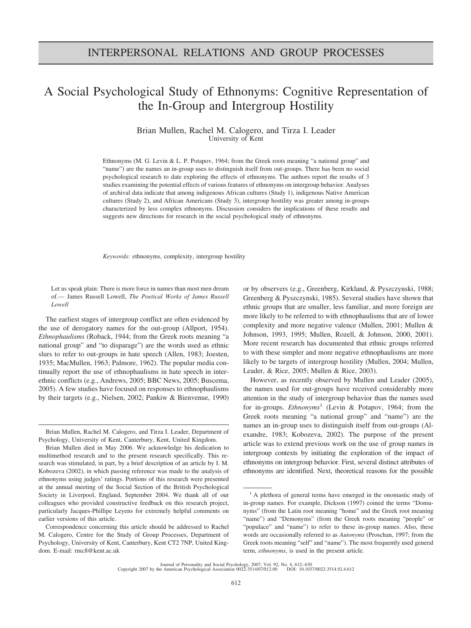### A Social Psychological Study of Ethnonyms: Cognitive Representation of the In-Group and Intergroup Hostility

Brian Mullen, Rachel M. Calogero, and Tirza I. Leader University of Kent

Ethnonyms (M. G. Levin & L. P. Potapov, 1964; from the Greek roots meaning "a national group" and "name") are the names an in-group uses to distinguish itself from out-groups. There has been no social psychological research to date exploring the effects of ethnonyms. The authors report the results of 3 studies examining the potential effects of various features of ethnonyms on intergroup behavior. Analyses of archival data indicate that among indigenous African cultures (Study 1), indigenous Native American cultures (Study 2), and African Americans (Study 3), intergroup hostility was greater among in-groups characterized by less complex ethnonyms. Discussion considers the implications of these results and suggests new directions for research in the social psychological study of ethnonyms.

*Keywords:* ethnonyms, complexity, intergroup hostility

Let us speak plain: There is more force in names than most men dream of.— James Russell Lowell, *The Poetical Works of James Russell Lowell*

The earliest stages of intergroup conflict are often evidenced by the use of derogatory names for the out-group (Allport, 1954). *Ethnophaulisms* (Roback, 1944; from the Greek roots meaning "a national group" and "to disparage") are the words used as ethnic slurs to refer to out-groups in hate speech (Allen, 1983; Joesten, 1935; MacMullen, 1963; Palmore, 1962). The popular media continually report the use of ethnophaulisms in hate speech in interethnic conflicts (e.g., Andrews, 2005; BBC News, 2005; Buscema, 2005). A few studies have focused on responses to ethnophaulisms by their targets (e.g., Nielsen, 2002; Pankiw & Bienvenue, 1990) or by observers (e.g., Greenberg, Kirkland, & Pyszczynski, 1988; Greenberg & Pyszczynski, 1985). Several studies have shown that ethnic groups that are smaller, less familiar, and more foreign are more likely to be referred to with ethnophaulisms that are of lower complexity and more negative valence (Mullen, 2001; Mullen & Johnson, 1993, 1995; Mullen, Rozell, & Johnson, 2000, 2001). More recent research has documented that ethnic groups referred to with these simpler and more negative ethnophaulisms are more likely to be targets of intergroup hostility (Mullen, 2004; Mullen, Leader, & Rice, 2005; Mullen & Rice, 2003).

However, as recently observed by Mullen and Leader (2005), the names used for out-groups have received considerably more attention in the study of intergroup behavior than the names used for in-groups. *Ethnonyms*<sup>1</sup> (Levin & Potapov, 1964; from the Greek roots meaning "a national group" and "name") are the names an in-group uses to distinguish itself from out-groups (Alexandre, 1983; Kobozeva, 2002). The purpose of the present article was to extend previous work on the use of group names in intergroup contexts by initiating the exploration of the impact of ethnonyms on intergroup behavior. First, several distinct attributes of ethnonyms are identified. Next, theoretical reasons for the possible

Brian Mullen, Rachel M. Calogero, and Tirza I. Leader, Department of Psychology, University of Kent, Canterbury, Kent, United Kingdom.

Brian Mullen died in May 2006. We acknowledge his dedication to multimethod research and to the present research specifically. This research was stimulated, in part, by a brief description of an article by I. M. Kobozeva (2002), in which passing reference was made to the analysis of ethnonyms using judges' ratings. Portions of this research were presented at the annual meeting of the Social Section of the British Psychological Society in Liverpool, England, September 2004. We thank all of our colleagues who provided constructive feedback on this research project, particularly Jacques-Phillipe Leyens for extremely helpful comments on earlier versions of this article.

Correspondence concerning this article should be addressed to Rachel M. Calogero, Centre for the Study of Group Processes, Department of Psychology, University of Kent, Canterbury, Kent CT2 7NP, United Kingdom. E-mail: rmc8@kent.ac.uk

<sup>&</sup>lt;sup>1</sup> A plethora of general terms have emerged in the onomastic study of in-group names. For example, Dickson (1997) coined the terms "Domunyms" (from the Latin root meaning "home" and the Greek root meaning "name") and "Demonyms" (from the Greek roots meaning "people" or "populace" and "name") to refer to these in-group names. Also, these words are occasionally referred to as *Autonyms* (Proschan, 1997; from the Greek roots meaning "self" and "name"). The most frequently used general term, *ethnonyms*, is used in the present article.

Journal of Personality and Social Psychology, 2007, Vol. 92, No. 4, 612–630 Copyright 2007 by the American Psychological Association 0022-3514/07/\$12.00 DOI: 10.1037/0022-3514.92.4.612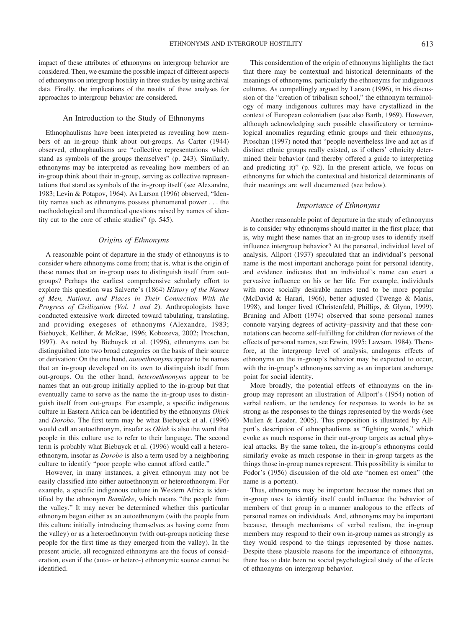impact of these attributes of ethnonyms on intergroup behavior are considered. Then, we examine the possible impact of different aspects of ethnonyms on intergroup hostility in three studies by using archival data. Finally, the implications of the results of these analyses for approaches to intergroup behavior are considered.

#### An Introduction to the Study of Ethnonyms

Ethnophaulisms have been interpreted as revealing how members of an in-group think about out-groups. As Carter (1944) observed, ethnophaulisms are "collective representations which stand as symbols of the groups themselves" (p. 243). Similarly, ethnonyms may be interpreted as revealing how members of an in-group think about their in-group, serving as collective representations that stand as symbols of the in-group itself (see Alexandre, 1983; Levin & Potapov, 1964). As Larson (1996) observed, "Identity names such as ethnonyms possess phenomenal power . . . the methodological and theoretical questions raised by names of identity cut to the core of ethnic studies" (p. 545).

#### *Origins of Ethnonyms*

A reasonable point of departure in the study of ethnonyms is to consider where ethnonyms come from; that is, what is the origin of these names that an in-group uses to distinguish itself from outgroups? Perhaps the earliest comprehensive scholarly effort to explore this question was Salverte's (1864) *History of the Names of Men, Nations, and Places in Their Connection With the Progress of Civilization (Vol. 1 and 2*). Anthropologists have conducted extensive work directed toward tabulating, translating, and providing exegeses of ethnonyms (Alexandre, 1983; Biebuyck, Kelliher, & McRae, 1996; Kobozeva, 2002; Proschan, 1997). As noted by Biebuyck et al. (1996), ethnonyms can be distinguished into two broad categories on the basis of their source or derivation: On the one hand, *autoethnonyms* appear to be names that an in-group developed on its own to distinguish itself from out-groups. On the other hand, *heteroethnonyms* appear to be names that an out-group initially applied to the in-group but that eventually came to serve as the name the in-group uses to distinguish itself from out-groups. For example, a specific indigenous culture in Eastern Africa can be identified by the ethnonyms *Okiek* and *Dorobo*. The first term may be what Biebuyck et al. (1996) would call an autoethnonym, insofar as *Okiek* is also the word that people in this culture use to refer to their language. The second term is probably what Biebuyck et al. (1996) would call a heteroethnonym, insofar as *Dorobo* is also a term used by a neighboring culture to identify "poor people who cannot afford cattle."

However, in many instances, a given ethnonym may not be easily classified into either autoethnonym or heteroethnonym. For example, a specific indigenous culture in Western Africa is identified by the ethnonym *Bamileke*, which means "the people from the valley." It may never be determined whether this particular ethnonym began either as an autoethnonym (with the people from this culture initially introducing themselves as having come from the valley) or as a heteroethnonym (with out-groups noticing these people for the first time as they emerged from the valley). In the present article, all recognized ethnonyms are the focus of consideration, even if the (auto- or hetero-) ethnonymic source cannot be identified.

This consideration of the origin of ethnonyms highlights the fact that there may be contextual and historical determinants of the meanings of ethnonyms, particularly the ethnonyms for indigenous cultures. As compellingly argued by Larson (1996), in his discussion of the "creation of tribalism school," the ethnonym terminology of many indigenous cultures may have crystallized in the context of European colonialism (see also Barth, 1969). However, although acknowledging such possible classificatory or terminological anomalies regarding ethnic groups and their ethnonyms, Proschan (1997) noted that "people nevertheless live and act as if distinct ethnic groups really existed, as if others' ethnicity determined their behavior (and thereby offered a guide to interpreting and predicting it)" (p. 92). In the present article, we focus on ethnonyms for which the contextual and historical determinants of their meanings are well documented (see below).

#### *Importance of Ethnonyms*

Another reasonable point of departure in the study of ethnonyms is to consider why ethnonyms should matter in the first place; that is, why might these names that an in-group uses to identify itself influence intergroup behavior? At the personal, individual level of analysis, Allport (1937) speculated that an individual's personal name is the most important anchorage point for personal identity, and evidence indicates that an individual's name can exert a pervasive influence on his or her life. For example, individuals with more socially desirable names tend to be more popular (McDavid & Harari, 1966), better adjusted (Twenge & Manis, 1998), and longer lived (Christenfeld, Phillips, & Glynn, 1999). Bruning and Albott (1974) observed that some personal names connote varying degrees of activity–passivity and that these connotations can become self-fulfilling for children (for reviews of the effects of personal names, see Erwin, 1995; Lawson, 1984). Therefore, at the intergroup level of analysis, analogous effects of ethnonyms on the in-group's behavior may be expected to occur, with the in-group's ethnonyms serving as an important anchorage point for social identity.

More broadly, the potential effects of ethnonyms on the ingroup may represent an illustration of Allport's (1954) notion of verbal realism, or the tendency for responses to words to be as strong as the responses to the things represented by the words (see Mullen & Leader, 2005). This proposition is illustrated by Allport's description of ethnophaulisms as "fighting words," which evoke as much response in their out-group targets as actual physical attacks. By the same token, the in-group's ethnonyms could similarly evoke as much response in their in-group targets as the things those in-group names represent. This possibility is similar to Fodor's (1956) discussion of the old axe "nomen est omen" (the name is a portent).

Thus, ethnonyms may be important because the names that an in-group uses to identify itself could influence the behavior of members of that group in a manner analogous to the effects of personal names on individuals. And, ethnonyms may be important because, through mechanisms of verbal realism, the in-group members may respond to their own in-group names as strongly as they would respond to the things represented by those names. Despite these plausible reasons for the importance of ethnonyms, there has to date been no social psychological study of the effects of ethnonyms on intergroup behavior.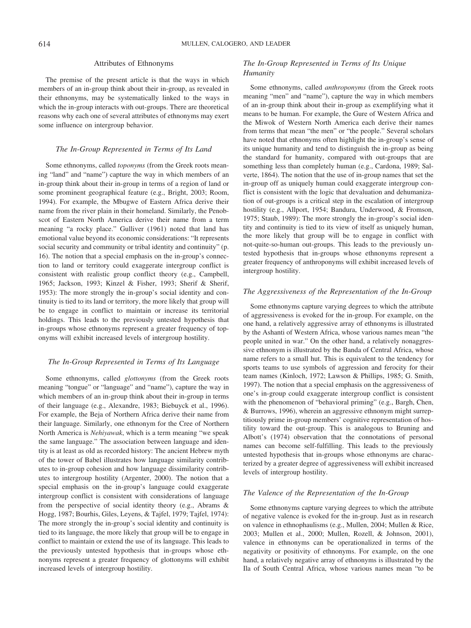#### Attributes of Ethnonyms

The premise of the present article is that the ways in which members of an in-group think about their in-group, as revealed in their ethnonyms, may be systematically linked to the ways in which the in-group interacts with out-groups. There are theoretical reasons why each one of several attributes of ethnonyms may exert some influence on intergroup behavior.

#### *The In-Group Represented in Terms of Its Land*

Some ethnonyms, called *toponyms* (from the Greek roots meaning "land" and "name") capture the way in which members of an in-group think about their in-group in terms of a region of land or some prominent geographical feature (e.g., Bright, 2003; Room, 1994). For example, the Mbugwe of Eastern Africa derive their name from the river plain in their homeland. Similarly, the Penobscot of Eastern North America derive their name from a term meaning "a rocky place." Gulliver (1961) noted that land has emotional value beyond its economic considerations: "It represents social security and community or tribal identity and continuity" (p. 16). The notion that a special emphasis on the in-group's connection to land or territory could exaggerate intergroup conflict is consistent with realistic group conflict theory (e.g., Campbell, 1965; Jackson, 1993; Kinzel & Fisher, 1993; Sherif & Sherif, 1953): The more strongly the in-group's social identity and continuity is tied to its land or territory, the more likely that group will be to engage in conflict to maintain or increase its territorial holdings. This leads to the previously untested hypothesis that in-groups whose ethnonyms represent a greater frequency of toponyms will exhibit increased levels of intergroup hostility.

#### *The In-Group Represented in Terms of Its Language*

Some ethnonyms, called *glottonyms* (from the Greek roots meaning "tongue" or "language" and "name"), capture the way in which members of an in-group think about their in-group in terms of their language (e.g., Alexandre, 1983; Biebuyck et al., 1996). For example, the Beja of Northern Africa derive their name from their language. Similarly, one ethnonym for the Cree of Northern North America is *Nehiyawak*, which is a term meaning "we speak the same language." The association between language and identity is at least as old as recorded history: The ancient Hebrew myth of the tower of Babel illustrates how language similarity contributes to in-group cohesion and how language dissimilarity contributes to intergroup hostility (Argenter, 2000). The notion that a special emphasis on the in-group's language could exaggerate intergroup conflict is consistent with considerations of language from the perspective of social identity theory (e.g., Abrams  $\&$ Hogg, 1987; Bourhis, Giles, Leyens, & Tajfel, 1979; Tajfel, 1974): The more strongly the in-group's social identity and continuity is tied to its language, the more likely that group will be to engage in conflict to maintain or extend the use of its language. This leads to the previously untested hypothesis that in-groups whose ethnonyms represent a greater frequency of glottonyms will exhibit increased levels of intergroup hostility.

#### *The In-Group Represented in Terms of Its Unique Humanity*

Some ethnonyms, called *anthroponyms* (from the Greek roots meaning "men" and "name"), capture the way in which members of an in-group think about their in-group as exemplifying what it means to be human. For example, the Gure of Western Africa and the Miwok of Western North America each derive their names from terms that mean "the men" or "the people." Several scholars have noted that ethnonyms often highlight the in-group's sense of its unique humanity and tend to distinguish the in-group as being the standard for humanity, compared with out-groups that are something less than completely human (e.g., Cardona, 1989; Salverte, 1864). The notion that the use of in-group names that set the in-group off as uniquely human could exaggerate intergroup conflict is consistent with the logic that devaluation and dehumanization of out-groups is a critical step in the escalation of intergroup hostility (e.g., Allport, 1954; Bandura, Underwood, & Fromson, 1975; Staub, 1989): The more strongly the in-group's social identity and continuity is tied to its view of itself as uniquely human, the more likely that group will be to engage in conflict with not-quite-so-human out-groups. This leads to the previously untested hypothesis that in-groups whose ethnonyms represent a greater frequency of anthroponyms will exhibit increased levels of intergroup hostility.

#### *The Aggressiveness of the Representation of the In-Group*

Some ethnonyms capture varying degrees to which the attribute of aggressiveness is evoked for the in-group. For example, on the one hand, a relatively aggressive array of ethnonyms is illustrated by the Ashanti of Western Africa, whose various names mean "the people united in war." On the other hand, a relatively nonaggressive ethnonym is illustrated by the Banda of Central Africa, whose name refers to a small hut. This is equivalent to the tendency for sports teams to use symbols of aggression and ferocity for their team names (Kinloch, 1972; Lawson & Phillips, 1985; G. Smith, 1997). The notion that a special emphasis on the aggressiveness of one's in-group could exaggerate intergroup conflict is consistent with the phenomenon of "behavioral priming" (e.g., Bargh, Chen, & Burrows, 1996), wherein an aggressive ethnonym might surreptitiously prime in-group members' cognitive representation of hostility toward the out-group. This is analogous to Bruning and Albott's (1974) observation that the connotations of personal names can become self-fulfilling. This leads to the previously untested hypothesis that in-groups whose ethnonyms are characterized by a greater degree of aggressiveness will exhibit increased levels of intergroup hostility.

#### *The Valence of the Representation of the In-Group*

Some ethnonyms capture varying degrees to which the attribute of negative valence is evoked for the in-group. Just as in research on valence in ethnophaulisms (e.g., Mullen, 2004; Mullen & Rice, 2003; Mullen et al., 2000; Mullen, Rozell, & Johnson, 2001), valence in ethnonyms can be operationalized in terms of the negativity or positivity of ethnonyms. For example, on the one hand, a relatively negative array of ethnonyms is illustrated by the Ila of South Central Africa, whose various names mean "to be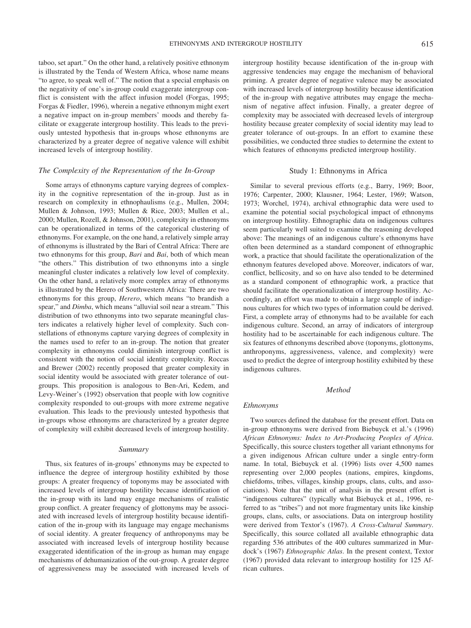taboo, set apart." On the other hand, a relatively positive ethnonym is illustrated by the Tenda of Western Africa, whose name means "to agree, to speak well of." The notion that a special emphasis on the negativity of one's in-group could exaggerate intergroup conflict is consistent with the affect infusion model (Forgas, 1995; Forgas & Fiedler, 1996), wherein a negative ethnonym might exert a negative impact on in-group members' moods and thereby facilitate or exaggerate intergroup hostility. This leads to the previously untested hypothesis that in-groups whose ethnonyms are characterized by a greater degree of negative valence will exhibit increased levels of intergroup hostility.

#### *The Complexity of the Representation of the In-Group*

Some arrays of ethnonyms capture varying degrees of complexity in the cognitive representation of the in-group. Just as in research on complexity in ethnophaulisms (e.g., Mullen, 2004; Mullen & Johnson, 1993; Mullen & Rice, 2003; Mullen et al., 2000; Mullen, Rozell, & Johnson, 2001), complexity in ethnonyms can be operationalized in terms of the categorical clustering of ethnonyms. For example, on the one hand, a relatively simple array of ethnonyms is illustrated by the Bari of Central Africa: There are two ethnonyms for this group, *Bari* and *Bai*, both of which mean "the others." This distribution of two ethnonyms into a single meaningful cluster indicates a relatively low level of complexity. On the other hand, a relatively more complex array of ethnonyms is illustrated by the Herero of Southwestern Africa: There are two ethnonyms for this group, *Herero*, which means "to brandish a spear," and *Dimba*, which means "alluvial soil near a stream." This distribution of two ethnonyms into two separate meaningful clusters indicates a relatively higher level of complexity. Such constellations of ethnonyms capture varying degrees of complexity in the names used to refer to an in-group. The notion that greater complexity in ethnonyms could diminish intergroup conflict is consistent with the notion of social identity complexity. Roccas and Brewer (2002) recently proposed that greater complexity in social identity would be associated with greater tolerance of outgroups. This proposition is analogous to Ben-Ari, Kedem, and Levy-Weiner's (1992) observation that people with low cognitive complexity responded to out-groups with more extreme negative evaluation. This leads to the previously untested hypothesis that in-groups whose ethnonyms are characterized by a greater degree of complexity will exhibit decreased levels of intergroup hostility.

#### *Summary*

Thus, six features of in-groups' ethnonyms may be expected to influence the degree of intergroup hostility exhibited by those groups: A greater frequency of toponyms may be associated with increased levels of intergroup hostility because identification of the in-group with its land may engage mechanisms of realistic group conflict. A greater frequency of glottonyms may be associated with increased levels of intergroup hostility because identification of the in-group with its language may engage mechanisms of social identity. A greater frequency of anthroponyms may be associated with increased levels of intergroup hostility because exaggerated identification of the in-group as human may engage mechanisms of dehumanization of the out-group. A greater degree of aggressiveness may be associated with increased levels of

intergroup hostility because identification of the in-group with aggressive tendencies may engage the mechanism of behavioral priming. A greater degree of negative valence may be associated with increased levels of intergroup hostility because identification of the in-group with negative attributes may engage the mechanism of negative affect infusion. Finally, a greater degree of complexity may be associated with decreased levels of intergroup hostility because greater complexity of social identity may lead to greater tolerance of out-groups. In an effort to examine these possibilities, we conducted three studies to determine the extent to which features of ethnonyms predicted intergroup hostility.

#### Study 1: Ethnonyms in Africa

Similar to several previous efforts (e.g., Barry, 1969; Boor, 1976; Carpenter, 2000; Klausner, 1964; Lester, 1969; Watson, 1973; Worchel, 1974), archival ethnographic data were used to examine the potential social psychological impact of ethnonyms on intergroup hostility. Ethnographic data on indigenous cultures seem particularly well suited to examine the reasoning developed above: The meanings of an indigenous culture's ethnonyms have often been determined as a standard component of ethnographic work, a practice that should facilitate the operationalization of the ethnonym features developed above. Moreover, indicators of war, conflict, bellicosity, and so on have also tended to be determined as a standard component of ethnographic work, a practice that should facilitate the operationalization of intergroup hostility. Accordingly, an effort was made to obtain a large sample of indigenous cultures for which two types of information could be derived. First, a complete array of ethnonyms had to be available for each indigenous culture. Second, an array of indicators of intergroup hostility had to be ascertainable for each indigenous culture. The six features of ethnonyms described above (toponyms, glottonyms, anthroponyms, aggressiveness, valence, and complexity) were used to predict the degree of intergroup hostility exhibited by these indigenous cultures.

#### *Method*

#### *Ethnonyms*

Two sources defined the database for the present effort. Data on in-group ethnonyms were derived from Biebuyck et al.'s (1996) *African Ethnonyms: Index to Art-Producing Peoples of Africa*. Specifically, this source clusters together all variant ethnonyms for a given indigenous African culture under a single entry-form name. In total, Biebuyck et al. (1996) lists over 4,500 names representing over 2,000 peoples (nations, empires, kingdoms, chiefdoms, tribes, villages, kinship groups, clans, cults, and associations). Note that the unit of analysis in the present effort is "indigenous cultures" (typically what Biebuyck et al., 1996, referred to as "tribes") and not more fragmentary units like kinship groups, clans, cults, or associations. Data on intergroup hostility were derived from Textor's (1967). *A Cross-Cultural Summary*. Specifically, this source collated all available ethnographic data regarding 536 attributes of the 400 cultures summarized in Murdock's (1967) *Ethnographic Atlas*. In the present context, Textor (1967) provided data relevant to intergroup hostility for 125 African cultures.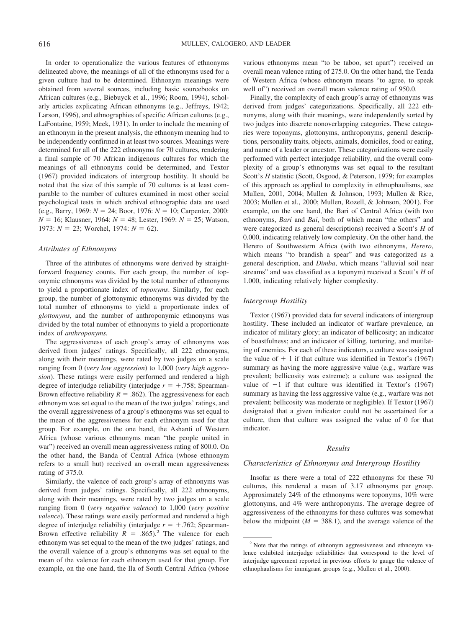In order to operationalize the various features of ethnonyms delineated above, the meanings of all of the ethnonyms used for a given culture had to be determined. Ethnonym meanings were obtained from several sources, including basic sourcebooks on African cultures (e.g., Biebuyck et al., 1996; Room, 1994), scholarly articles explicating African ethnonyms (e.g., Jeffreys, 1942; Larson, 1996), and ethnographies of specific African cultures (e.g., LaFontaine, 1959; Meek, 1931). In order to include the meaning of an ethnonym in the present analysis, the ethnonym meaning had to be independently confirmed in at least two sources. Meanings were determined for all of the 222 ethnonyms for 70 cultures, rendering a final sample of 70 African indigenous cultures for which the meanings of all ethnonyms could be determined, and Textor (1967) provided indicators of intergroup hostility. It should be noted that the size of this sample of 70 cultures is at least comparable to the number of cultures examined in most other social psychological tests in which archival ethnographic data are used (e.g., Barry, 1969:  $N = 24$ ; Boor, 1976:  $N = 10$ ; Carpenter, 2000:  $N = 16$ ; Klausner, 1964:  $N = 48$ ; Lester, 1969:  $N = 25$ ; Watson, 1973:  $N = 23$ ; Worchel, 1974:  $N = 62$ ).

#### *Attributes of Ethnonyms*

Three of the attributes of ethnonyms were derived by straightforward frequency counts. For each group, the number of toponymic ethnonyms was divided by the total number of ethnonyms to yield a proportionate index of *toponyms*. Similarly, for each group, the number of glottonymic ethnonyms was divided by the total number of ethnonyms to yield a proportionate index of *glottonyms*, and the number of anthroponymic ethnonyms was divided by the total number of ethnonyms to yield a proportionate index of *anthroponyms.*

The aggressiveness of each group's array of ethnonyms was derived from judges' ratings. Specifically, all 222 ethnonyms, along with their meanings, were rated by two judges on a scale ranging from 0 (*very low aggression*) to 1,000 (*very high aggression*). These ratings were easily performed and rendered a high degree of interjudge reliability (interjudge  $r = +0.758$ ; Spearman-Brown effective reliability  $R = .862$ ). The aggressiveness for each ethnonym was set equal to the mean of the two judges' ratings, and the overall aggressiveness of a group's ethnonyms was set equal to the mean of the aggressiveness for each ethnonym used for that group. For example, on the one hand, the Ashanti of Western Africa (whose various ethnonyms mean "the people united in war") received an overall mean aggressiveness rating of 800.0. On the other hand, the Banda of Central Africa (whose ethnonym refers to a small hut) received an overall mean aggressiveness rating of 375.0.

Similarly, the valence of each group's array of ethnonyms was derived from judges' ratings. Specifically, all 222 ethnonyms, along with their meanings, were rated by two judges on a scale ranging from 0 (*very negative valence*) to 1,000 (*very positive valence*). These ratings were easily performed and rendered a high degree of interjudge reliability (interjudge  $r = +.762$ ; Spearman-Brown effective reliability  $R = .865$ .<sup>2</sup> The valence for each ethnonym was set equal to the mean of the two judges' ratings, and the overall valence of a group's ethnonyms was set equal to the mean of the valence for each ethnonym used for that group. For example, on the one hand, the Ila of South Central Africa (whose various ethnonyms mean "to be taboo, set apart") received an overall mean valence rating of 275.0. On the other hand, the Tenda of Western Africa (whose ethnonym means "to agree, to speak well of") received an overall mean valence rating of 950.0.

Finally, the complexity of each group's array of ethnonyms was derived from judges' categorizations. Specifically, all 222 ethnonyms, along with their meanings, were independently sorted by two judges into discrete nonoverlapping categories. These categories were toponyms, glottonyms, anthroponyms, general descriptions, personality traits, objects, animals, domiciles, food or eating, and name of a leader or ancestor. These categorizations were easily performed with perfect interjudge reliability, and the overall complexity of a group's ethnonyms was set equal to the resultant Scott's *H* statistic (Scott, Osgood, & Peterson, 1979; for examples of this approach as applied to complexity in ethnophaulisms, see Mullen, 2001, 2004; Mullen & Johnson, 1993; Mullen & Rice, 2003; Mullen et al., 2000; Mullen, Rozell, & Johnson, 2001). For example, on the one hand, the Bari of Central Africa (with two ethnonyms, *Bari* and *Bai*, both of which mean "the others" and were categorized as general descriptions) received a Scott's *H* of 0.000, indicating relatively low complexity. On the other hand, the Herero of Southwestern Africa (with two ethnonyms, *Herero*, which means "to brandish a spear" and was categorized as a general description, and *Dimba*, which means "alluvial soil near streams" and was classified as a toponym) received a Scott's *H* of 1.000, indicating relatively higher complexity.

#### *Intergroup Hostility*

Textor (1967) provided data for several indicators of intergroup hostility. These included an indicator of warfare prevalence, an indicator of military glory; an indicator of bellicosity; an indicator of boastfulness; and an indicator of killing, torturing, and mutilating of enemies. For each of these indicators, a culture was assigned the value of  $+1$  if that culture was identified in Textor's (1967) summary as having the more aggressive value (e.g., warfare was prevalent; bellicosity was extreme); a culture was assigned the value of  $-1$  if that culture was identified in Textor's (1967) summary as having the less aggressive value (e.g., warfare was not prevalent; bellicosity was moderate or negligible). If Textor (1967) designated that a given indicator could not be ascertained for a culture, then that culture was assigned the value of 0 for that indicator.

#### *Results*

#### *Characteristics of Ethnonyms and Intergroup Hostility*

Insofar as there were a total of 222 ethnonyms for these 70 cultures, this rendered a mean of 3.17 ethnonyms per group. Approximately 24% of the ethnonyms were toponyms, 10% were glottonyms, and 4% were anthroponyms. The average degree of aggressiveness of the ethnonyms for these cultures was somewhat below the midpoint  $(M = 388.1)$ , and the average valence of the

<sup>2</sup> Note that the ratings of ethnonym aggressiveness and ethnonym valence exhibited interjudge reliabilities that correspond to the level of interjudge agreement reported in previous efforts to gauge the valence of ethnophaulisms for immigrant groups (e.g., Mullen et al., 2000).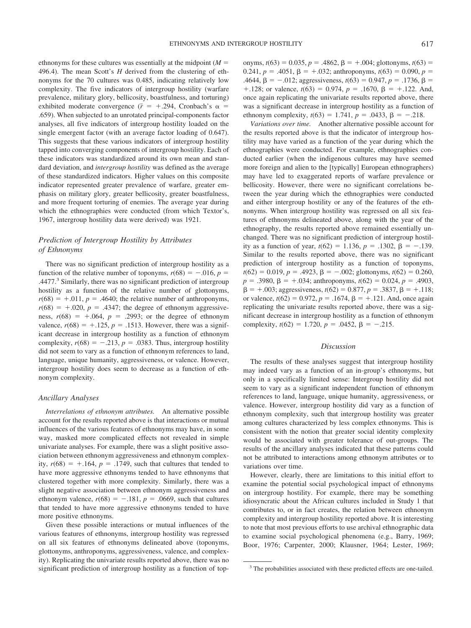ethnonyms for these cultures was essentially at the midpoint  $(M =$ 496.4). The mean Scott's *H* derived from the clustering of ethnonyms for the 70 cultures was 0.485, indicating relatively low complexity. The five indicators of intergroup hostility (warfare prevalence, military glory, bellicosity, boastfulness, and torturing) exhibited moderate convergence ( $\bar{r}$  = +.294, Cronbach's  $\alpha$  = .659). When subjected to an unrotated principal-components factor analyses, all five indicators of intergroup hostility loaded on the single emergent factor (with an average factor loading of 0.647). This suggests that these various indicators of intergroup hostility tapped into converging components of intergroup hostility. Each of these indicators was standardized around its own mean and standard deviation, and *intergroup hostility* was defined as the average of these standardized indicators. Higher values on this composite indicator represented greater prevalence of warfare, greater emphasis on military glory, greater bellicosity, greater boastfulness, and more frequent torturing of enemies. The average year during which the ethnographies were conducted (from which Textor's, 1967, intergroup hostility data were derived) was 1921.

#### *Prediction of Intergroup Hostility by Attributes of Ethnonyms*

There was no significant prediction of intergroup hostility as a function of the relative number of toponyms,  $r(68) = -.016$ ,  $p =$ .4477.<sup>3</sup> Similarly, there was no significant prediction of intergroup hostility as a function of the relative number of glottonyms,  $r(68) = +0.011$ ,  $p = 0.4640$ ; the relative number of anthroponyms,  $r(68) = +0.020$ ,  $p = .4347$ ; the degree of ethnonym aggressiveness,  $r(68) = +0.064$ ,  $p = 0.2993$ ; or the degree of ethnonym valence,  $r(68) = +0.125$ ,  $p = 0.1513$ . However, there was a significant decrease in intergroup hostility as a function of ethnonym complexity,  $r(68) = -.213$ ,  $p = .0383$ . Thus, intergroup hostility did not seem to vary as a function of ethnonym references to land, language, unique humanity, aggressiveness, or valence. However, intergroup hostility does seem to decrease as a function of ethnonym complexity.

#### *Ancillary Analyses*

*Interrelations of ethnonym attributes.* An alternative possible account for the results reported above is that interactions or mutual influences of the various features of ethnonyms may have, in some way, masked more complicated effects not revealed in simple univariate analyses. For example, there was a slight positive association between ethnonym aggressiveness and ethnonym complexity,  $r(68) = +0.164$ ,  $p = 0.1749$ , such that cultures that tended to have more aggressive ethnonyms tended to have ethnonyms that clustered together with more complexity. Similarly, there was a slight negative association between ethnonym aggressiveness and ethnonym valence,  $r(68) = -.181$ ,  $p = .0669$ , such that cultures that tended to have more aggressive ethnonyms tended to have more positive ethnonyms.

Given these possible interactions or mutual influences of the various features of ethnonyms, intergroup hostility was regressed on all six features of ethnonyms delineated above (toponyms, glottonyms, anthroponyms, aggressiveness, valence, and complexity). Replicating the univariate results reported above, there was no significant prediction of intergroup hostility as a function of top-

onyms,  $t(63) = 0.035$ ,  $p = .4862$ ,  $\beta = +.004$ ; glottonyms,  $t(63) =$  $0.241$ ,  $p = .4051$ ,  $\beta = +.032$ ; anthroponyms,  $t(63) = 0.090$ ,  $p =$ .4644,  $\beta = -.012$ ; aggressiveness,  $t(63) = 0.947$ ,  $p = .1736$ ,  $\beta =$  $+ .128$ ; or valence,  $t(63) = 0.974$ ,  $p = .1670$ ,  $\beta = + .122$ . And, once again replicating the univariate results reported above, there was a significant decrease in intergroup hostility as a function of ethnonym complexity,  $t(63) = 1.741$ ,  $p = .0433$ ,  $\beta = -.218$ .

*Variations over time.* Another alternative possible account for the results reported above is that the indicator of intergroup hostility may have varied as a function of the year during which the ethnographies were conducted. For example, ethnographies conducted earlier (when the indigenous cultures may have seemed more foreign and alien to the [typically] European ethnographers) may have led to exaggerated reports of warfare prevalence or bellicosity. However, there were no significant correlations between the year during which the ethnographies were conducted and either intergroup hostility or any of the features of the ethnonyms. When intergroup hostility was regressed on all six features of ethnonyms delineated above, along with the year of the ethnography, the results reported above remained essentially unchanged. There was no significant prediction of intergroup hostility as a function of year,  $t(62) = 1.136$ ,  $p = .1302$ ,  $\beta = -.139$ . Similar to the results reported above, there was no significant prediction of intergroup hostility as a function of toponyms,  $t(62) = 0.019$ ,  $p = .4923$ ,  $\beta = -.002$ ; glottonyms,  $t(62) = 0.260$ ,  $p = .3980, \beta = +.034;$  anthroponyms,  $t(62) = 0.024, p = .4903,$  $\beta = +.003$ ; aggressiveness,  $t(62) = 0.877$ ,  $p = .3837$ ,  $\beta = +.118$ ; or valence,  $t(62) = 0.972$ ,  $p = .1674$ ,  $\beta = +.121$ . And, once again replicating the univariate results reported above, there was a significant decrease in intergroup hostility as a function of ethnonym complexity,  $t(62) = 1.720$ ,  $p = .0452$ ,  $\beta = -.215$ .

#### *Discussion*

The results of these analyses suggest that intergroup hostility may indeed vary as a function of an in-group's ethnonyms, but only in a specifically limited sense: Intergroup hostility did not seem to vary as a significant independent function of ethnonym references to land, language, unique humanity, aggressiveness, or valence. However, intergroup hostility did vary as a function of ethnonym complexity, such that intergroup hostility was greater among cultures characterized by less complex ethnonyms. This is consistent with the notion that greater social identity complexity would be associated with greater tolerance of out-groups. The results of the ancillary analyses indicated that these patterns could not be attributed to interactions among ethnonym attributes or to variations over time.

However, clearly, there are limitations to this initial effort to examine the potential social psychological impact of ethnonyms on intergroup hostility. For example, there may be something idiosyncratic about the African cultures included in Study 1 that contributes to, or in fact creates, the relation between ethnonym complexity and intergroup hostility reported above. It is interesting to note that most previous efforts to use archival ethnographic data to examine social psychological phenomena (e.g., Barry, 1969; Boor, 1976; Carpenter, 2000; Klausner, 1964; Lester, 1969;

<sup>&</sup>lt;sup>3</sup> The probabilities associated with these predicted effects are one-tailed.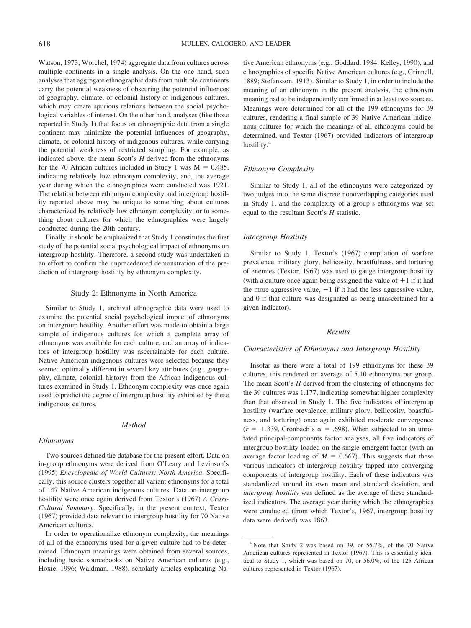Watson, 1973; Worchel, 1974) aggregate data from cultures across multiple continents in a single analysis. On the one hand, such analyses that aggregate ethnographic data from multiple continents carry the potential weakness of obscuring the potential influences of geography, climate, or colonial history of indigenous cultures, which may create spurious relations between the social psychological variables of interest. On the other hand, analyses (like those reported in Study 1) that focus on ethnographic data from a single continent may minimize the potential influences of geography, climate, or colonial history of indigenous cultures, while carrying the potential weakness of restricted sampling. For example, as indicated above, the mean Scott's *H* derived from the ethnonyms for the 70 African cultures included in Study 1 was  $M = 0.485$ , indicating relatively low ethnonym complexity, and, the average year during which the ethnographies were conducted was 1921. The relation between ethnonym complexity and intergroup hostility reported above may be unique to something about cultures characterized by relatively low ethnonym complexity, or to something about cultures for which the ethnographies were largely conducted during the 20th century.

Finally, it should be emphasized that Study 1 constitutes the first study of the potential social psychological impact of ethnonyms on intergroup hostility. Therefore, a second study was undertaken in an effort to confirm the unprecedented demonstration of the prediction of intergroup hostility by ethnonym complexity.

#### Study 2: Ethnonyms in North America

Similar to Study 1, archival ethnographic data were used to examine the potential social psychological impact of ethnonyms on intergroup hostility. Another effort was made to obtain a large sample of indigenous cultures for which a complete array of ethnonyms was available for each culture, and an array of indicators of intergroup hostility was ascertainable for each culture. Native American indigenous cultures were selected because they seemed optimally different in several key attributes (e.g., geography, climate, colonial history) from the African indigenous cultures examined in Study 1. Ethnonym complexity was once again used to predict the degree of intergroup hostility exhibited by these indigenous cultures.

#### *Method*

#### *Ethnonyms*

Two sources defined the database for the present effort. Data on in-group ethnonyms were derived from O'Leary and Levinson's (1995) *Encyclopedia of World Cultures: North America*. Specifically, this source clusters together all variant ethnonyms for a total of 147 Native American indigenous cultures. Data on intergroup hostility were once again derived from Textor's (1967) *A Cross-Cultural Summary*. Specifically, in the present context, Textor (1967) provided data relevant to intergroup hostility for 70 Native American cultures.

In order to operationalize ethnonym complexity, the meanings of all of the ethnonyms used for a given culture had to be determined. Ethnonym meanings were obtained from several sources, including basic sourcebooks on Native American cultures (e.g., Hoxie, 1996; Waldman, 1988), scholarly articles explicating Native American ethnonyms (e.g., Goddard, 1984; Kelley, 1990), and ethnographies of specific Native American cultures (e.g., Grinnell, 1889; Stefansson, 1913). Similar to Study 1, in order to include the meaning of an ethnonym in the present analysis, the ethnonym meaning had to be independently confirmed in at least two sources. Meanings were determined for all of the 199 ethnonyms for 39 cultures, rendering a final sample of 39 Native American indigenous cultures for which the meanings of all ethnonyms could be determined, and Textor (1967) provided indicators of intergroup hostility.<sup>4</sup>

#### *Ethnonym Complexity*

Similar to Study 1, all of the ethnonyms were categorized by two judges into the same discrete nonoverlapping categories used in Study 1, and the complexity of a group's ethnonyms was set equal to the resultant Scott's *H* statistic.

#### *Intergroup Hostility*

Similar to Study 1, Textor's (1967) compilation of warfare prevalence, military glory, bellicosity, boastfulness, and torturing of enemies (Textor, 1967) was used to gauge intergroup hostility (with a culture once again being assigned the value of  $+1$  if it had the more aggressive value,  $-1$  if it had the less aggressive value, and 0 if that culture was designated as being unascertained for a given indicator).

#### *Results*

#### *Characteristics of Ethnonyms and Intergroup Hostility*

Insofar as there were a total of 199 ethnonyms for these 39 cultures, this rendered on average of 5.10 ethnonyms per group. The mean Scott's *H* derived from the clustering of ethnonyms for the 39 cultures was 1.177, indicating somewhat higher complexity than that observed in Study 1. The five indicators of intergroup hostility (warfare prevalence, military glory, bellicosity, boastfulness, and torturing) once again exhibited moderate convergence  $(\bar{r} = +0.339,$  Cronbach's  $\alpha = 0.698$ ). When subjected to an unrotated principal-components factor analyses, all five indicators of intergroup hostility loaded on the single emergent factor (with an average factor loading of  $M = 0.667$ ). This suggests that these various indicators of intergroup hostility tapped into converging components of intergroup hostility. Each of these indicators was standardized around its own mean and standard deviation, and *intergroup hostility* was defined as the average of these standardized indicators. The average year during which the ethnographies were conducted (from which Textor's, 1967, intergroup hostility data were derived) was 1863.

<sup>4</sup> Note that Study 2 was based on 39, or 55.7%, of the 70 Native American cultures represented in Textor (1967). This is essentially identical to Study 1, which was based on 70, or 56.0%, of the 125 African cultures represented in Textor (1967).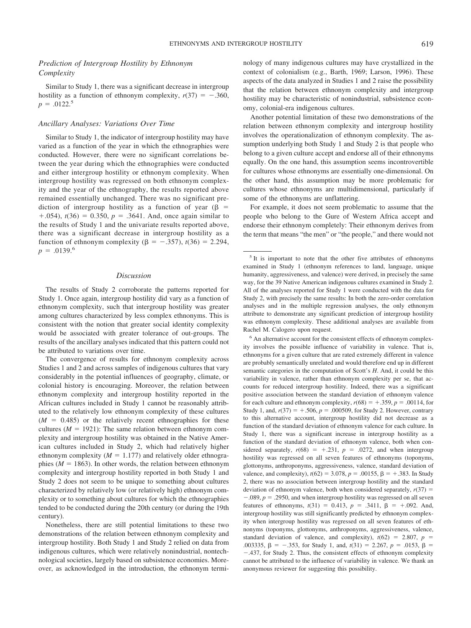#### *Prediction of Intergroup Hostility by Ethnonym Complexity*

Similar to Study 1, there was a significant decrease in intergroup hostility as a function of ethnonym complexity,  $r(37) = -.360$ ,  $p = .0122.^5$ 

#### *Ancillary Analyses: Variations Over Time*

Similar to Study 1, the indicator of intergroup hostility may have varied as a function of the year in which the ethnographies were conducted. However, there were no significant correlations between the year during which the ethnographies were conducted and either intergroup hostility or ethnonym complexity. When intergroup hostility was regressed on both ethnonym complexity and the year of the ethnography, the results reported above remained essentially unchanged. There was no significant prediction of intergroup hostility as a function of year ( $\beta$  =  $+ .054$ ,  $t(36) = 0.350$ ,  $p = .3641$ . And, once again similar to the results of Study 1 and the univariate results reported above, there was a significant decrease in intergroup hostility as a function of ethnonym complexity ( $\beta = -.357$ ),  $t(36) = 2.294$ ,  $p = .0139.^6$ 

#### *Discussion*

The results of Study 2 corroborate the patterns reported for Study 1. Once again, intergroup hostility did vary as a function of ethnonym complexity, such that intergroup hostility was greater among cultures characterized by less complex ethnonyms. This is consistent with the notion that greater social identity complexity would be associated with greater tolerance of out-groups. The results of the ancillary analyses indicated that this pattern could not be attributed to variations over time.

The convergence of results for ethnonym complexity across Studies 1 and 2 and across samples of indigenous cultures that vary considerably in the potential influences of geography, climate, or colonial history is encouraging. Moreover, the relation between ethnonym complexity and intergroup hostility reported in the African cultures included in Study 1 cannot be reasonably attributed to the relatively low ethnonym complexity of these cultures  $(M = 0.485)$  or the relatively recent ethnographies for these cultures ( $M = 1921$ ): The same relation between ethnonym complexity and intergroup hostility was obtained in the Native American cultures included in Study 2, which had relatively higher ethnonym complexity  $(M = 1.177)$  and relatively older ethnographies ( $M = 1863$ ). In other words, the relation between ethnonym complexity and intergroup hostility reported in both Study 1 and Study 2 does not seem to be unique to something about cultures characterized by relatively low (or relatively high) ethnonym complexity or to something about cultures for which the ethnographies tended to be conducted during the 20th century (or during the 19th century).

Nonetheless, there are still potential limitations to these two demonstrations of the relation between ethnonym complexity and intergroup hostility. Both Study 1 and Study 2 relied on data from indigenous cultures, which were relatively nonindustrial, nontechnological societies, largely based on subsistence economies. Moreover, as acknowledged in the introduction, the ethnonym terminology of many indigenous cultures may have crystallized in the context of colonialism (e.g., Barth, 1969; Larson, 1996). These aspects of the data analyzed in Studies 1 and 2 raise the possibility that the relation between ethnonym complexity and intergroup hostility may be characteristic of nonindustrial, subsistence economy, colonial-era indigenous cultures.

Another potential limitation of these two demonstrations of the relation between ethnonym complexity and intergroup hostility involves the operationalization of ethnonym complexity. The assumption underlying both Study 1 and Study 2 is that people who belong to a given culture accept and endorse all of their ethnonyms equally. On the one hand, this assumption seems incontrovertible for cultures whose ethnonyms are essentially one-dimensional. On the other hand, this assumption may be more problematic for cultures whose ethnonyms are multidimensional, particularly if some of the ethnonyms are unflattering.

For example, it does not seem problematic to assume that the people who belong to the Gure of Western Africa accept and endorse their ethnonym completely: Their ethnonym derives from the term that means "the men" or "the people," and there would not

<sup>6</sup> An alternative account for the consistent effects of ethnonym complexity involves the possible influence of variability in valence. That is, ethnonyms for a given culture that are rated extremely different in valence are probably semantically unrelated and would therefore end up in different semantic categories in the computation of Scott's *H*. And, it could be this variability in valence, rather than ethnonym complexity per se, that accounts for reduced intergroup hostility. Indeed, there was a significant positive association between the standard deviation of ethnonym valence for each culture and ethnonym complexity,  $r(68) = +0.359$ ,  $p = 0.00114$ , for Study 1, and,  $r(37) = +0.506$ ,  $p = 0.000509$ , for Study 2. However, contrary to this alternative account, intergroup hostility did not decrease as a function of the standard deviation of ethnonym valence for each culture. In Study 1, there was a significant increase in intergroup hostility as a function of the standard deviation of ethnonym valence, both when considered separately,  $r(68) = +0.231$ ,  $p = 0.0272$ , and when intergroup hostility was regressed on all seven features of ethnonyms (toponyms, glottonyms, anthroponyms, aggressiveness, valence, standard deviation of valence, and complexity),  $t(62) = 3.078$ ,  $p = .00155$ ,  $\beta = +.383$ . In Study 2, there was no association between intergroup hostility and the standard deviation of ethnonym valence, both when considered separately,  $r(37)$  =  $-.089, p = .2950$ , and when intergroup hostility was regressed on all seven features of ethnonyms,  $t(31) = 0.413$ ,  $p = .3411$ ,  $\beta = +.092$ . And, intergroup hostility was still significantly predicted by ethnonym complexity when intergroup hostility was regressed on all seven features of ethnonyms (toponyms, glottonyms, anthroponyms, aggressiveness, valence, standard deviation of valence, and complexity),  $t(62) = 2.807$ ,  $p =$ .003335,  $\beta$  = -.353, for Study 1, and,  $t(31)$  = 2.267,  $p$  = .0153,  $\beta$  = .437, for Study 2. Thus, the consistent effects of ethnonym complexity cannot be attributed to the influence of variability in valence. We thank an anonymous reviewer for suggesting this possibility.

<sup>&</sup>lt;sup>5</sup> It is important to note that the other five attributes of ethnonyms examined in Study 1 (ethnonym references to land, language, unique humanity, aggressiveness, and valence) were derived, in precisely the same way, for the 39 Native American indigenous cultures examined in Study 2. All of the analyses reported for Study 1 were conducted with the data for Study 2, with precisely the same results: In both the zero-order correlation analyses and in the multiple regression analyses, the only ethnonym attribute to demonstrate any significant prediction of intergroup hostility was ethnonym complexity. These additional analyses are available from Rachel M. Calogero upon request.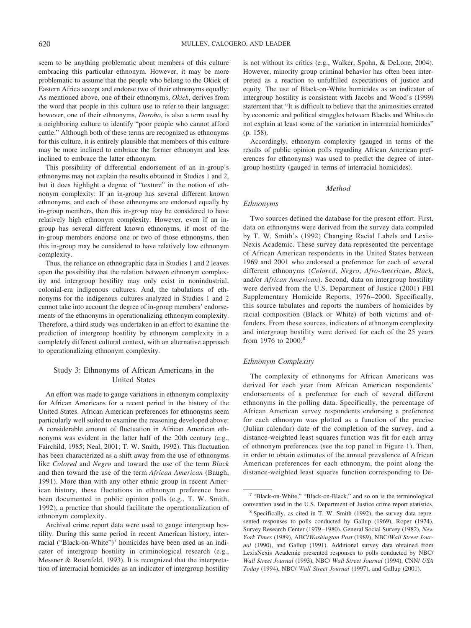seem to be anything problematic about members of this culture embracing this particular ethnonym. However, it may be more problematic to assume that the people who belong to the Okiek of Eastern Africa accept and endorse two of their ethnonyms equally: As mentioned above, one of their ethnonyms, *Okiek*, derives from the word that people in this culture use to refer to their language; however, one of their ethnonyms, *Dorobo*, is also a term used by a neighboring culture to identify "poor people who cannot afford cattle." Although both of these terms are recognized as ethnonyms for this culture, it is entirely plausible that members of this culture may be more inclined to embrace the former ethnonym and less inclined to embrace the latter ethnonym.

This possibility of differential endorsement of an in-group's ethnonyms may not explain the results obtained in Studies 1 and 2, but it does highlight a degree of "texture" in the notion of ethnonym complexity: If an in-group has several different known ethnonyms, and each of those ethnonyms are endorsed equally by in-group members, then this in-group may be considered to have relatively high ethnonym complexity. However, even if an ingroup has several different known ethnonyms, if most of the in-group members endorse one or two of those ethnonyms, then this in-group may be considered to have relatively low ethnonym complexity.

Thus, the reliance on ethnographic data in Studies 1 and 2 leaves open the possibility that the relation between ethnonym complexity and intergroup hostility may only exist in nonindustrial, colonial-era indigenous cultures. And, the tabulations of ethnonyms for the indigenous cultures analyzed in Studies 1 and 2 cannot take into account the degree of in-group members' endorsements of the ethnonyms in operationalizing ethnonym complexity. Therefore, a third study was undertaken in an effort to examine the prediction of intergroup hostility by ethnonym complexity in a completely different cultural context, with an alternative approach to operationalizing ethnonym complexity.

#### Study 3: Ethnonyms of African Americans in the United States

An effort was made to gauge variations in ethnonym complexity for African Americans for a recent period in the history of the United States. African American preferences for ethnonyms seem particularly well suited to examine the reasoning developed above: A considerable amount of fluctuation in African American ethnonyms was evident in the latter half of the 20th century (e.g., Fairchild, 1985; Neal, 2001; T. W. Smith, 1992). This fluctuation has been characterized as a shift away from the use of ethnonyms like *Colored* and *Negro* and toward the use of the term *Black* and then toward the use of the term *African American* (Baugh, 1991). More than with any other ethnic group in recent American history, these fluctations in ethnonym preference have been documented in public opinion polls (e.g., T. W. Smith, 1992), a practice that should facilitate the operationalization of ethnonym complexity.

Archival crime report data were used to gauge intergroup hostility. During this same period in recent American history, interracial ("Black-on-White")<sup>7</sup> homicides have been used as an indicator of intergroup hostility in criminological research (e.g., Messner & Rosenfeld, 1993). It is recognized that the interpretation of interracial homicides as an indicator of intergroup hostility is not without its critics (e.g., Walker, Spohn, & DeLone, 2004). However, minority group criminal behavior has often been interpreted as a reaction to unfulfilled expectations of justice and equity. The use of Black-on-White homicides as an indicator of intergroup hostility is consistent with Jacobs and Wood's (1999) statement that "It is difficult to believe that the animosities created by economic and political struggles between Blacks and Whites do not explain at least some of the variation in interracial homicides" (p. 158).

Accordingly, ethnonym complexity (gauged in terms of the results of public opinion polls regarding African American preferences for ethnonyms) was used to predict the degree of intergroup hostility (gauged in terms of interracial homicides).

#### *Method*

#### *Ethnonyms*

Two sources defined the database for the present effort. First, data on ethnonyms were derived from the survey data compiled by T. W. Smith's (1992) Changing Racial Labels and Lexis-Nexis Academic. These survey data represented the percentage of African American respondents in the United States between 1969 and 2001 who endorsed a preference for each of several different ethnonyms (*Colored*, *Negro*, *Afro-American*, *Black*, and/or *African American*). Second, data on intergroup hostility were derived from the U.S. Department of Justice (2001) FBI Supplementary Homicide Reports, 1976–2000. Specifically, this source tabulates and reports the numbers of homicides by racial composition (Black or White) of both victims and offenders. From these sources, indicators of ethnonym complexity and intergroup hostility were derived for each of the 25 years from 1976 to 2000.<sup>8</sup>

#### *Ethnonym Complexity*

The complexity of ethnonyms for African Americans was derived for each year from African American respondents' endorsements of a preference for each of several different ethnonyms in the polling data. Specifically, the percentage of African American survey respondents endorsing a preference for each ethnonym was plotted as a function of the precise (Julian calendar) date of the completion of the survey, and a distance-weighted least squares function was fit for each array of ethnonym preferences (see the top panel in Figure 1). Then, in order to obtain estimates of the annual prevalence of African American preferences for each ethnonym, the point along the distance-weighted least squares function corresponding to De-

<sup>&</sup>lt;sup>7</sup> "Black-on-White," "Black-on-Black," and so on is the terminological convention used in the U.S. Department of Justice crime report statistics.

<sup>8</sup> Specifically, as cited in T. W. Smith (1992), the survey data represented responses to polls conducted by Gallup (1969), Roper (1974), Survey Research Center (1979–1980), General Social Survey (1982), *New York Times* (1989), ABC/*Washington Post* (1989), NBC/*Wall Street Journal* (1990), and Gallup (1991). Additional survey data obtained from LexisNexis Academic presented responses to polls conducted by NBC/ *Wall Street Journal* (1993), NBC/ *Wall Street Journal* (1994), CNN/ *USA Today* (1994), NBC/ *Wall Street Journal* (1997), and Gallup (2001).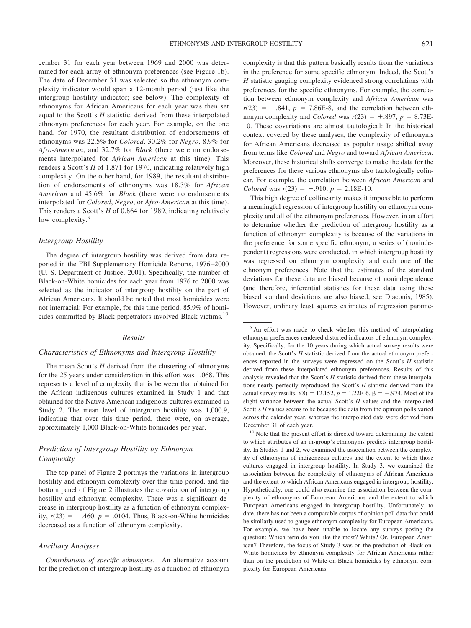cember 31 for each year between 1969 and 2000 was determined for each array of ethnonym preferences (see Figure 1b). The date of December 31 was selected so the ethnonym complexity indicator would span a 12-month period (just like the intergroup hostility indicator; see below). The complexity of ethnonyms for African Americans for each year was then set equal to the Scott's *H* statistic, derived from these interpolated ethnonym preferences for each year. For example, on the one hand, for 1970, the resultant distribution of endorsements of ethnonyms was 22.5% for *Colored*, 30.2% for *Negro*, 8.9% for *Afro-American*, and 32.7% for *Black* (there were no endorsements interpolated for *African American* at this time). This renders a Scott's *H* of 1.871 for 1970, indicating relatively high complexity. On the other hand, for 1989, the resultant distribution of endorsements of ethnonyms was 18.3% for *African American* and 45.6% for *Black* (there were no endorsements interpolated for *Colored*, *Negro*, or *Afro-American* at this time). This renders a Scott's *H* of 0.864 for 1989, indicating relatively low complexity.<sup>9</sup>

#### *Intergroup Hostility*

The degree of intergroup hostility was derived from data reported in the FBI Supplementary Homicide Reports, 1976–2000 (U. S. Department of Justice, 2001). Specifically, the number of Black-on-White homicides for each year from 1976 to 2000 was selected as the indicator of intergroup hostility on the part of African Americans. It should be noted that most homicides were not interracial: For example, for this time period, 85.9% of homicides committed by Black perpetrators involved Black victims.<sup>10</sup>

#### *Results*

#### *Characteristics of Ethnonyms and Intergroup Hostility*

The mean Scott's *H* derived from the clustering of ethnonyms for the 25 years under consideration in this effort was 1.068. This represents a level of complexity that is between that obtained for the African indigenous cultures examined in Study 1 and that obtained for the Native American indigenous cultures examined in Study 2. The mean level of intergroup hostility was 1,000.9, indicating that over this time period, there were, on average, approximately 1,000 Black-on-White homicides per year.

#### *Prediction of Intergroup Hostility by Ethnonym Complexity*

The top panel of Figure 2 portrays the variations in intergroup hostility and ethnonym complexity over this time period, and the bottom panel of Figure 2 illustrates the covariation of intergroup hostility and ethnonym complexity. There was a significant decrease in intergroup hostility as a function of ethnonym complexity,  $r(23) = -.460$ ,  $p = .0104$ . Thus, Black-on-White homicides decreased as a function of ethnonym complexity.

#### *Ancillary Analyses*

*Contributions of specific ethnonyms.* An alternative account for the prediction of intergroup hostility as a function of ethnonym complexity is that this pattern basically results from the variations in the preference for some specific ethnonym. Indeed, the Scott's *H* statistic gauging complexity evidenced strong correlations with preferences for the specific ethnonyms. For example, the correlation between ethnonym complexity and *African American* was  $r(23) = -.841$ ,  $p = 7.86E-8$ , and the correlation between ethnonym complexity and *Colored* was  $r(23) = +0.897$ ,  $p = 8.73E$ 10. These covariations are almost tautological: In the historical context covered by these analyses, the complexity of ethnonyms for African Americans decreased as popular usage shifted away from terms like *Colored* and *Negro* and toward *African American*. Moreover, these historical shifts converge to make the data for the preferences for these various ethnonyms also tautologically colinear. For example, the correlation between *African American* and *Colored* was  $r(23) = -.910$ ,  $p = 2.18E-10$ .

This high degree of collinearity makes it impossible to perform a meaningful regression of intergroup hostility on ethnonym complexity and all of the ethnonym preferences. However, in an effort to determine whether the prediction of intergroup hostility as a function of ethnonym complexity is because of the variations in the preference for some specific ethnonym, a series of (nonindependent) regressions were conducted, in which intergroup hostility was regressed on ethnonym complexity and each one of the ethnonym preferences. Note that the estimates of the standard deviations for these data are biased because of nonindependence (and therefore, inferential statistics for these data using these biased standard deviations are also biased; see Diaconis, 1985). However, ordinary least squares estimates of regression parame-

<sup>&</sup>lt;sup>9</sup> An effort was made to check whether this method of interpolating ethnonym preferences rendered distorted indicators of ethnonym complexity. Specifically, for the 10 years during which actual survey results were obtained, the Scott's *H* statistic derived from the actual ethnonym preferences reported in the surveys were regressed on the Scott's *H* statistic derived from these interpolated ethnonym preferences. Results of this analysis revealed that the Scott's *H* statistic derived from these interpolations nearly perfectly reproduced the Scott's *H* statistic derived from the actual survey results,  $t(8) = 12.152$ ,  $p = 1.22E-6$ ,  $\beta = +0.974$ . Most of the slight variance between the actual Scott's *H* values and the interpolated Scott's *H* values seems to be because the data from the opinion polls varied across the calendar year, whereas the interpolated data were derived from December 31 of each year.

<sup>&</sup>lt;sup>10</sup> Note that the present effort is directed toward determining the extent to which attributes of an in-group's ethnonyms predicts intergroup hostility. In Studies 1 and 2, we examined the association between the complexity of ethnonyms of indigeneous cultures and the extent to which those cultures engaged in intergroup hostility. In Study 3, we examined the association between the complexity of ethnonyms of African Americans and the extent to which African Americans engaged in intergroup hostility. Hypothetically, one could also examine the association between the complexity of ethnonyms of European Americans and the extent to which European Americans engaged in intergroup hostility. Unfortunately, to date, there has not been a comparable corpus of opinion poll data that could be similarly used to gauge ethnonym complexity for European Americans. For example, we have been unable to locate any surveys posing the question: Which term do you like the most? White? Or, European American? Therefore, the focus of Study 3 was on the prediction of Black-on-White homicides by ethnonym complexity for African Americans rather than on the prediction of White-on-Black homicides by ethnonym complexity for European Americans.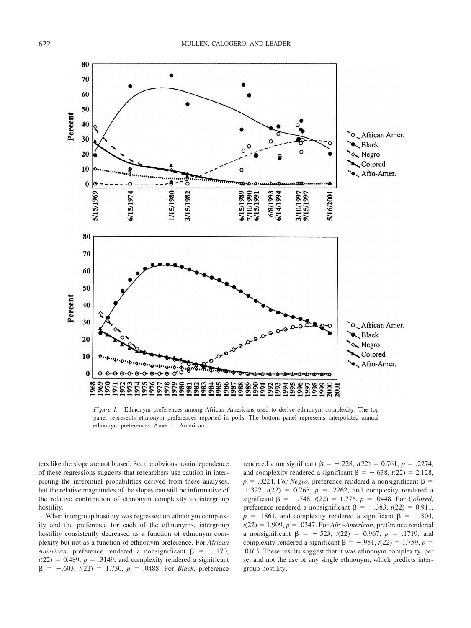

*Figure 1.* Ethnonym preferences among African Americans used to derive ethnonym complexity. The top panel represents ethnonym preferences reported in polls. The bottom panel represents interpolated annual ethnonym preferences. Amer. = American.

ters like the slope are not biased. So, the obvious nonindependence of these regressions suggests that researchers use caution in interpreting the inferential probabilities derived from these analyses, but the relative magnitudes of the slopes can still be informative of the relative contribution of ethnonym complexity to intergroup hostility.

When intergroup hostility was regressed on ethnonym complexity and the preference for each of the ethnonyms, intergroup hostility consistently decreased as a function of ethnonym complexity but not as a function of ethnonym preference. For *African American*, preference rendered a nonsignificant  $\beta = -.170$ ,  $t(22) = 0.489$ ,  $p = .3149$ , and complexity rendered a significant  $\beta$  = -.603, *t*(22) = 1.730, *p* = .0488. For *Black*, preference

rendered a nonsignificant  $\beta = +0.228$ ,  $t(22) = 0.761$ ,  $p = 0.2274$ , and complexity rendered a significant  $\beta = -.638$ ,  $t(22) = 2.128$ ,  $p = .0224$ . For *Negro*, preference rendered a nonsignificant  $\beta$  =  $+ .322, t(22) = 0.765, p = .2262, and complexity rendered a$ significant  $\beta = -.748$ ,  $t(22) = 1.776$ ,  $p = .0448$ . For *Colored*, preference rendered a nonsignificant  $\beta = +0.383$ ,  $t(22) = 0.911$ ,  $p = .1861$ , and complexity rendered a significant  $\beta = -.804$ ,  $t(22) = 1.909$ ,  $p = .0347$ . For *Afro-American*, preference rendered a nonsignificant  $\beta = +0.523$ ,  $t(22) = 0.967$ ,  $p = 0.1719$ , and complexity rendered a significant  $\beta = -.951$ ,  $t(22) = 1.759$ ,  $p =$ .0463. These results suggest that it was ethnonym complexity, per se, and not the use of any single ethnonym, which predicts intergroup hostility.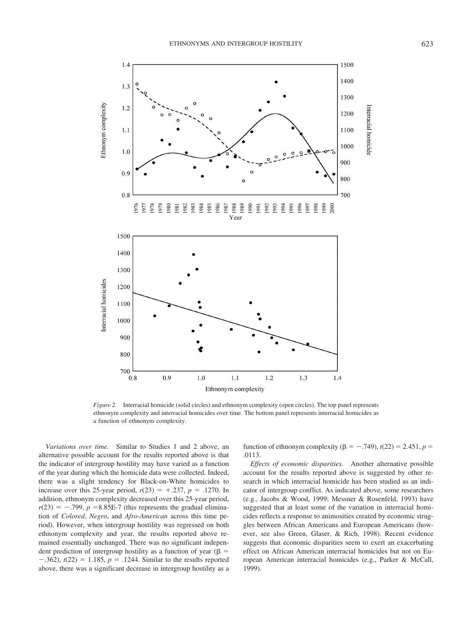

*Figure 2.* Interracial homicide (solid circles) and ethnonym complexity (open circles). The top panel represents ethnonym complexity and interracial homicides over time. The bottom panel represents interracial homicides as a function of ethnonym complexity.

*Variations over time.* Similar to Studies 1 and 2 above, an alternative possible account for the results reported above is that the indicator of intergroup hostility may have varied as a function of the year during which the homicide data were collected. Indeed, there was a slight tendency for Black-on-White homicides to increase over this 25-year period,  $r(23) = +0.237$ ,  $p = 0.1270$ . In addition, ethnonym complexity decreased over this 25-year period,  $r(23) = -.799$ ,  $p = 8.85E-7$  (this represents the gradual elimination of *Colored*, *Negro*, and *Afro-American* across this time period). However, when intergroup hostility was regressed on both ethnonym complexity and year, the results reported above remained essentially unchanged. There was no significant independent prediction of intergroup hostility as a function of year ( $\beta$  =  $-0.362$ ,  $t(22) = 1.185$ ,  $p = 0.1244$ . Similar to the results reported above, there was a significant decrease in intergroup hostility as a

function of ethnonym complexity ( $\beta = -.749$ ), *t*(22) = 2.451, *p* = .0113.

*Effects of economic disparities.* Another alternative possible account for the results reported above is suggested by other research in which interracial homicide has been studied as an indicator of intergroup conflict. As indicated above, some researchers (e.g., Jacobs & Wood, 1999; Messner & Rosenfeld, 1993) have suggested that at least some of the variation in interracial homicides reflects a response to animosities created by economic struggles between African Americans and European Americans (however, see also Green, Glaser, & Rich, 1998). Recent evidence suggests that economic disparities seem to exert an exacerbating effect on African American interracial homicides but not on European American interracial homicides (e.g., Parker & McCall, 1999).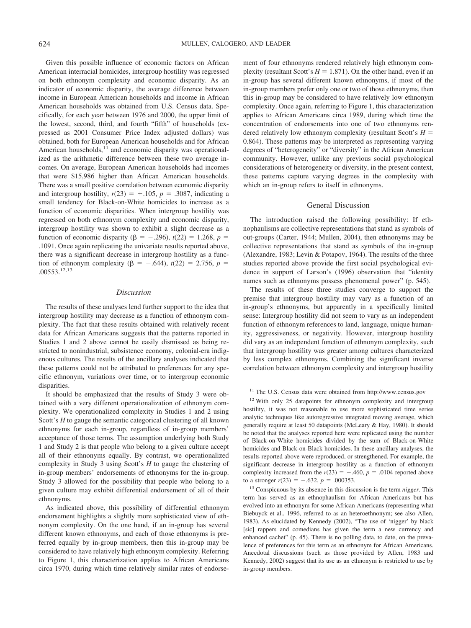Given this possible influence of economic factors on African American interracial homicides, intergroup hostility was regressed on both ethnonym complexity and economic disparity. As an indicator of economic disparity, the average difference between income in European American households and income in African American households was obtained from U.S. Census data. Specifically, for each year between 1976 and 2000, the upper limit of the lowest, second, third, and fourth "fifth" of households (expressed as 2001 Consumer Price Index adjusted dollars) was obtained, both for European American households and for African American households, $11$  and economic disparity was operationalized as the arithmetic difference between these two average incomes. On average, European American households had incomes that were \$15,986 higher than African American households. There was a small positive correlation between economic disparity and intergroup hostility,  $r(23) = +0.105$ ,  $p = 0.3087$ , indicating a small tendency for Black-on-White homicides to increase as a function of economic disparities. When intergroup hostility was regressed on both ethnonym complexity and economic disparity, intergroup hostility was shown to exhibit a slight decrease as a function of economic disparity ( $\beta = -.296$ ),  $t(22) = 1.268$ ,  $p =$ .1091. Once again replicating the univariate results reported above, there was a significant decrease in intergroup hostility as a function of ethnonym complexity ( $\beta = -.644$ ),  $t(22) = 2.756$ ,  $p =$ .00553.12,13

#### *Discussion*

The results of these analyses lend further support to the idea that intergroup hostility may decrease as a function of ethnonym complexity. The fact that these results obtained with relatively recent data for African Americans suggests that the patterns reported in Studies 1 and 2 above cannot be easily dismissed as being restricted to nonindustrial, subsistence economy, colonial-era indigenous cultures. The results of the ancillary analyses indicated that these patterns could not be attributed to preferences for any specific ethnonym, variations over time, or to intergroup economic disparities.

It should be emphasized that the results of Study 3 were obtained with a very different operationalization of ethnonym complexity. We operationalized complexity in Studies 1 and 2 using Scott's *H* to gauge the semantic categorical clustering of all known ethnonyms for each in-group, regardless of in-group members' acceptance of those terms. The assumption underlying both Study 1 and Study 2 is that people who belong to a given culture accept all of their ethnonyms equally. By contrast, we operationalized complexity in Study 3 using Scott's *H* to gauge the clustering of in-group members' endorsements of ethnonyms for the in-group. Study 3 allowed for the possibility that people who belong to a given culture may exhibit differential endorsement of all of their ethnonyms.

As indicated above, this possibility of differential ethnonym endorsement highlights a slightly more sophisticated view of ethnonym complexity. On the one hand, if an in-group has several different known ethnonyms, and each of those ethnonyms is preferred equally by in-group members, then this in-group may be considered to have relatively high ethnonym complexity. Referring to Figure 1, this characterization applies to African Americans circa 1970, during which time relatively similar rates of endorsement of four ethnonyms rendered relatively high ethnonym complexity (resultant Scott's  $H = 1.871$ ). On the other hand, even if an in-group has several different known ethnonyms, if most of the in-group members prefer only one or two of those ethnonyms, then this in-group may be considered to have relatively low ethnonym complexity. Once again, referring to Figure 1, this characterization applies to African Americans circa 1989, during which time the concentration of endorsements into one of two ethnonyms rendered relatively low ethnonym complexity (resultant Scott's *H* 0.864). These patterns may be interpreted as representing varying degrees of "heterogeneity" or "diversity" in the African American community. However, unlike any previous social psychological considerations of heterogeneity or diversity, in the present context, these patterns capture varying degrees in the complexity with which an in-group refers to itself in ethnonyms.

#### General Discussion

The introduction raised the following possibility: If ethnophaulisms are collective representations that stand as symbols of out-groups (Carter, 1944; Mullen, 2004), then ethnonyms may be collective representations that stand as symbols of the in-group (Alexandre, 1983; Levin & Potapov, 1964). The results of the three studies reported above provide the first social psychological evidence in support of Larson's (1996) observation that "identity names such as ethnonyms possess phenomenal power" (p. 545).

The results of these three studies converge to support the premise that intergroup hostility may vary as a function of an in-group's ethnonyms, but apparently in a specifically limited sense: Intergroup hostility did not seem to vary as an independent function of ethnonym references to land, language, unique humanity, aggressiveness, or negativity. However, intergroup hostility did vary as an independent function of ethnonym complexity, such that intergroup hostility was greater among cultures characterized by less complex ethnonyms. Combining the significant inverse correlation between ethnonym complexity and intergroup hostility

<sup>12</sup> With only 25 datapoints for ethnonym complexity and intergroup hostility, it was not reasonable to use more sophisticated time series analytic techniques like autoregressive integrated moving average, which generally require at least 50 datapoints (McLeary & Hay, 1980). It should be noted that the analyses reported here were replicated using the number of Black-on-White homicides divided by the sum of Black-on-White homicides and Black-on-Black homicides. In these ancillary analyses, the results reported above were reproduced, or strengthened. For example, the significant decrease in intergroup hostility as a function of ethnonym complexity increased from the  $r(23) = -.460$ ,  $p = .0104$  reported above to a stronger  $r(23) = -.632$ ,  $p = .000353$ .

<sup>13</sup> Conspicuous by its absence in this discussion is the term *nigger*. This term has served as an ethnophaulism for African Americans but has evolved into an ethnonym for some African Americans (representing what Biebuyck et al., 1996, referred to as an heteroethnonym; see also Allen, 1983). As elucidated by Kennedy (2002), "The use of 'nigger' by black [sic] rappers and comedians has given the term a new currency and enhanced cachet" (p. 45). There is no polling data, to date, on the prevalence of preferences for this term as an ethnonym for African Americans. Anecdotal discussions (such as those provided by Allen, 1983 and Kennedy, 2002) suggest that its use as an ethnonym is restricted to use by in-group members.

<sup>&</sup>lt;sup>11</sup> The U.S. Census data were obtained from http://www.census.gov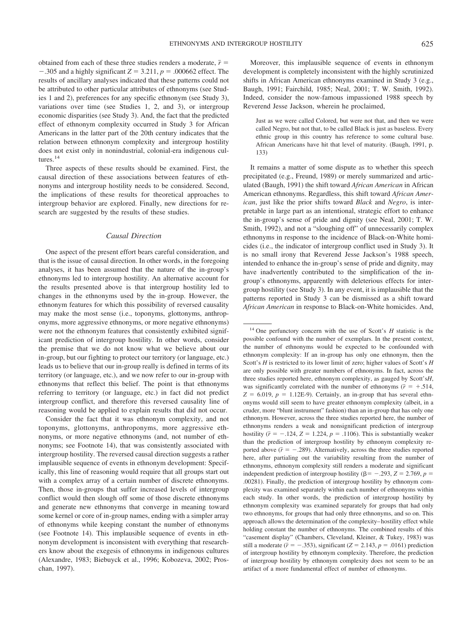obtained from each of these three studies renders a moderate,  $\bar{r}$  =  $-0.305$  and a highly significant  $Z = 3.211$ ,  $p = 0.00662$  effect. The results of ancillary analyses indicated that these patterns could not be attributed to other particular attributes of ethnonyms (see Studies 1 and 2), preferences for any specific ethnonym (see Study 3), variations over time (see Studies 1, 2, and 3), or intergroup economic disparities (see Study 3). And, the fact that the predicted effect of ethnonym complexity occurred in Study 3 for African Americans in the latter part of the 20th century indicates that the relation between ethnonym complexity and intergroup hostility does not exist only in nonindustrial, colonial-era indigenous cultures.<sup>14</sup>

Three aspects of these results should be examined. First, the causal direction of these associations between features of ethnonyms and intergroup hostility needs to be considered. Second, the implications of these results for theoretical approaches to intergroup behavior are explored. Finally, new directions for research are suggested by the results of these studies.

#### *Causal Direction*

One aspect of the present effort bears careful consideration, and that is the issue of causal direction. In other words, in the foregoing analyses, it has been assumed that the nature of the in-group's ethnonyms led to intergroup hostility. An alternative account for the results presented above is that intergroup hostility led to changes in the ethnonyms used by the in-group. However, the ethnonym features for which this possibility of reversed causality may make the most sense (i.e., toponyms, glottonyms, anthroponyms, more aggressive ethnonyms, or more negative ethnonyms) were not the ethnonym features that consistently exhibited significant prediction of intergroup hostility. In other words, consider the premise that we do not know what we believe about our in-group, but our fighting to protect our territory (or language, etc.) leads us to believe that our in-group really is defined in terms of its territory (or language, etc.), and we now refer to our in-group with ethnonyms that reflect this belief. The point is that ethnonyms referring to territory (or language, etc.) in fact did not predict intergroup conflict, and therefore this reversed causality line of reasoning would be applied to explain results that did not occur.

Consider the fact that it was ethnonym complexity, and not toponyms, glottonyms, anthroponyms, more aggressive ethnonyms, or more negative ethnonyms (and, not number of ethnonyms; see Footnote 14), that was consistently associated with intergroup hostility. The reversed causal direction suggests a rather implausible sequence of events in ethnonym development: Specifically, this line of reasoning would require that all groups start out with a complex array of a certain number of discrete ethnonyms. Then, those in-groups that suffer increased levels of intergroup conflict would then slough off some of those discrete ethnonyms and generate new ethnonyms that converge in meaning toward some kernel or core of in-group names, ending with a simpler array of ethnonyms while keeping constant the number of ethnonyms (see Footnote 14). This implausible sequence of events in ethnonym development is inconsistent with everything that researchers know about the exegesis of ethnonyms in indigenous cultures (Alexandre, 1983; Biebuyck et al., 1996; Kobozeva, 2002; Proschan, 1997).

Moreover, this implausible sequence of events in ethnonym development is completely inconsistent with the highly scrutinized shifts in African American ethnonyms examined in Study 3 (e.g., Baugh, 1991; Fairchild, 1985; Neal, 2001; T. W. Smith, 1992). Indeed, consider the now-famous impassioned 1988 speech by Reverend Jesse Jackson, wherein he proclaimed,

Just as we were called Colored, but were not that, and then we were called Negro, but not that, to be called Black is just as baseless. Every ethnic group in this country has reference to some cultural base. African Americans have hit that level of maturity. (Baugh, 1991, p. 133)

It remains a matter of some dispute as to whether this speech precipitated (e.g., Freund, 1989) or merely summarized and articulated (Baugh, 1991) the shift toward *African American* in African American ethnonyms. Regardless, this shift toward *African American*, just like the prior shifts toward *Black* and *Negro*, is interpretable in large part as an intentional, strategic effort to enhance the in-group's sense of pride and dignity (see Neal, 2001; T. W. Smith, 1992), and not a "sloughing off" of unnecessarily complex ethnonyms in response to the incidence of Black-on-White homicides (i.e., the indicator of intergroup conflict used in Study 3). It is no small irony that Reverend Jesse Jackson's 1988 speech, intended to enhance the in-group's sense of pride and dignity, may have inadvertently contributed to the simplification of the ingroup's ethnonyms, apparently with deleterious effects for intergroup hostility (see Study 3). In any event, it is implausible that the patterns reported in Study 3 can be dismissed as a shift toward *African American* in response to Black-on-White homicides. And,

<sup>14</sup> One perfunctory concern with the use of Scott's *H* statistic is the possible confound with the number of exemplars. In the present context, the number of ethnonyms would be expected to be confounded with ethnonym complexity: If an in-group has only one ethnonym, then the Scott's *H* is restricted to its lower limit of zero; higher values of Scott's *H* are only possible with greater numbers of ethnonyms. In fact, across the three studies reported here, ethnonym complexity, as gauged by Scott's*H*, was significantly correlated with the number of ethnonyms ( $\bar{r} = +0.514$ ,  $Z = 6.019$ ,  $p = 1.12E-9$ ). Certainly, an in-group that has several ethnonyms would still seem to have greater ethnonym complexity (albeit, in a cruder, more "blunt instrument" fashion) than an in-group that has only one ethnonym. However, across the three studies reported here, the number of ethnonyms renders a weak and nonsignificant prediction of intergroup hostility  $(\bar{r} = -.124, Z = 1.224, p = .1106)$ . This is substantially weaker than the prediction of intergroup hostility by ethnonym complexity reported above  $(\bar{r} = -.289)$ . Alternatively, across the three studies reported here, after partialing out the variability resulting from the number of ethnonyms, ethnonym complexity still renders a moderate and significant independent prediction of intergroup hostility ( $\beta$  = -.293, *Z* = 2.769, *p* = .00281). Finally, the prediction of intergroup hostility by ethnonym complexity was examined separately within each number of ethnonyms within each study. In other words, the prediction of intergroup hostility by ethnonym complexity was examined separately for groups that had only two ethnonyms, for groups that had only three ethnonyms, and so on. This approach allows the determination of the complexity–hostility effect while holding constant the number of ethnonyms. The combined results of this "casement display" (Chambers, Cleveland, Kleiner, & Tukey, 1983) was still a moderate ( $\bar{r}$  = -.353), significant (*Z* = 2.143, *p* = .0161) prediction of intergroup hostility by ethnonym complexity. Therefore, the prediction of intergroup hostility by ethnonym complexity does not seem to be an artifact of a more fundamental effect of number of ethnonyms.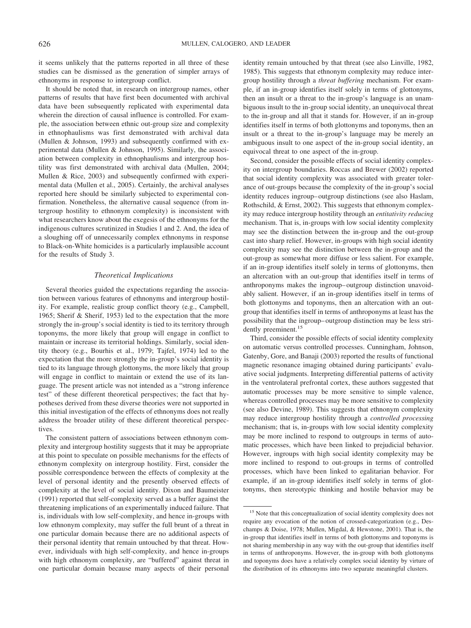it seems unlikely that the patterns reported in all three of these studies can be dismissed as the generation of simpler arrays of ethnonyms in response to intergroup conflict.

It should be noted that, in research on intergroup names, other patterns of results that have first been documented with archival data have been subsequently replicated with experimental data wherein the direction of causal influence is controlled. For example, the association between ethnic out-group size and complexity in ethnophaulisms was first demonstrated with archival data (Mullen & Johnson, 1993) and subsequently confirmed with experimental data (Mullen & Johnson, 1995). Similarly, the association between complexity in ethnophaulisms and intergroup hostility was first demonstrated with archival data (Mullen, 2004; Mullen & Rice, 2003) and subsequently confirmed with experimental data (Mullen et al., 2005). Certainly, the archival analyses reported here should be similarly subjected to experimental confirmation. Nonetheless, the alternative causal sequence (from intergroup hostility to ethnonym complexity) is inconsistent with what researchers know about the exegesis of the ethnonyms for the indigenous cultures scrutinized in Studies 1 and 2. And, the idea of a sloughing off of unnecessarily complex ethnonyms in response to Black-on-White homicides is a particularly implausible account for the results of Study 3.

#### *Theoretical Implications*

Several theories guided the expectations regarding the association between various features of ethnonyms and intergroup hostility. For example, realistic group conflict theory (e.g., Campbell, 1965; Sherif & Sherif, 1953) led to the expectation that the more strongly the in-group's social identity is tied to its territory through toponyms, the more likely that group will engage in conflict to maintain or increase its territorial holdings. Similarly, social identity theory (e.g., Bourhis et al., 1979; Tajfel, 1974) led to the expectation that the more strongly the in-group's social identity is tied to its language through glottonyms, the more likely that group will engage in conflict to maintain or extend the use of its language. The present article was not intended as a "strong inference test" of these different theoretical perspectives; the fact that hypotheses derived from these diverse theories were not supported in this initial investigation of the effects of ethnonyms does not really address the broader utility of these different theoretical perspectives.

The consistent pattern of associations between ethnonym complexity and intergroup hostility suggests that it may be appropriate at this point to speculate on possible mechanisms for the effects of ethnonym complexity on intergroup hostility. First, consider the possible correspondence between the effects of complexity at the level of personal identity and the presently observed effects of complexity at the level of social identity. Dixon and Baumeister (1991) reported that self-complexity served as a buffer against the threatening implications of an experimentally induced failure. That is, individuals with low self-complexity, and hence in-groups with low ethnonym complexity, may suffer the full brunt of a threat in one particular domain because there are no additional aspects of their personal identity that remain untouched by that threat. However, individuals with high self-complexity, and hence in-groups with high ethnonym complexity, are "buffered" against threat in one particular domain because many aspects of their personal identity remain untouched by that threat (see also Linville, 1982, 1985). This suggests that ethnonym complexity may reduce intergroup hostility through a *threat buffering* mechanism. For example, if an in-group identifies itself solely in terms of glottonyms, then an insult or a threat to the in-group's language is an unambiguous insult to the in-group social identity, an unequivocal threat to the in-group and all that it stands for. However, if an in-group identifies itself in terms of both glottonyms and toponyms, then an insult or a threat to the in-group's language may be merely an ambiguous insult to one aspect of the in-group social identity, an equivocal threat to one aspect of the in-group.

Second, consider the possible effects of social identity complexity on intergroup boundaries. Roccas and Brewer (2002) reported that social identity complexity was associated with greater tolerance of out-groups because the complexity of the in-group's social identity reduces ingroup–outgroup distinctions (see also Haslam, Rothschild, & Ernst, 2002). This suggests that ethnonym complexity may reduce intergroup hostility through an *entitativity reducing* mechanism. That is, in-groups with low social identity complexity may see the distinction between the in-group and the out-group cast into sharp relief. However, in-groups with high social identity complexity may see the distinction between the in-group and the out-group as somewhat more diffuse or less salient. For example, if an in-group identifies itself solely in terms of glottonyms, then an altercation with an out-group that identifies itself in terms of anthroponyms makes the ingroup–outgroup distinction unavoidably salient. However, if an in-group identifies itself in terms of both glottonyms and toponyms, then an altercation with an outgroup that identifies itself in terms of anthroponyms at least has the possibility that the ingroup–outgroup distinction may be less stridently preeminent.<sup>15</sup>

Third, consider the possible effects of social identity complexity on automatic versus controlled processes. Cunningham, Johnson, Gatenby, Gore, and Banaji (2003) reported the results of functional magnetic resonance imaging obtained during participants' evaluative social judgments. Interpreting differential patterns of activity in the ventrolateral prefrontal cortex, these authors suggested that automatic processes may be more sensitive to simple valence, whereas controlled processes may be more sensitive to complexity (see also Devine, 1989). This suggests that ethnonym complexity may reduce intergroup hostility through a *controlled processing* mechanism; that is, in-groups with low social identity complexity may be more inclined to respond to outgroups in terms of automatic processes, which have been linked to prejudicial behavior. However, ingroups with high social identity complexity may be more inclined to respond to out-groups in terms of controlled processes, which have been linked to egalitarian behavior. For example, if an in-group identifies itself solely in terms of glottonyms, then stereotypic thinking and hostile behavior may be

<sup>&</sup>lt;sup>15</sup> Note that this conceptualization of social identity complexity does not require any evocation of the notion of crossed-categorization (e.g., Deschamps & Doise, 1978; Mullen, Migdal, & Hewstone, 2001). That is, the in-group that identifies itself in terms of both glottonyms and toponyms is not sharing membership in any way with the out-group that identifies itself in terms of anthroponyms. However, the in-group with both glottonyms and toponyms does have a relatively complex social identity by virture of the distribution of its ethnonyms into two separate meaningful clusters.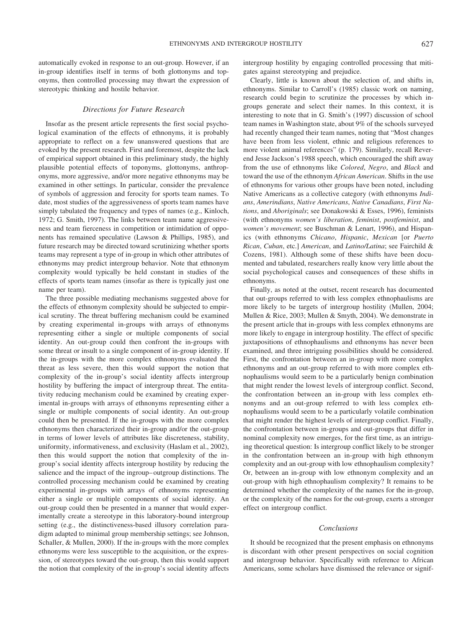automatically evoked in response to an out-group. However, if an in-group identifies itself in terms of both glottonyms and toponyms, then controlled processing may thwart the expression of stereotypic thinking and hostile behavior.

#### *Directions for Future Research*

Insofar as the present article represents the first social psychological examination of the effects of ethnonyms, it is probably appropriate to reflect on a few unanswered questions that are evoked by the present research. First and foremost, despite the lack of empirical support obtained in this preliminary study, the highly plausible potential effects of toponyms, glottonyms, anthroponyms, more aggressive, and/or more negative ethnonyms may be examined in other settings. In particular, consider the prevalence of symbols of aggression and ferocity for sports team names. To date, most studies of the aggressiveness of sports team names have simply tabulated the frequency and types of names (e.g., Kinloch, 1972; G. Smith, 1997). The links between team name aggressiveness and team fierceness in competition or intimidation of opponents has remained speculative (Lawson & Phillips, 1985), and future research may be directed toward scrutinizing whether sports teams may represent a type of in-group in which other attributes of ethnonyms may predict intergroup behavior. Note that ethnonym complexity would typically be held constant in studies of the effects of sports team names (insofar as there is typically just one name per team).

The three possible mediating mechanisms suggested above for the effects of ethnonym complexity should be subjected to empirical scrutiny. The threat buffering mechanism could be examined by creating experimental in-groups with arrays of ethnonyms representing either a single or multiple components of social identity. An out-group could then confront the in-groups with some threat or insult to a single component of in-group identity. If the in-groups with the more complex ethnonyms evaluated the threat as less severe, then this would support the notion that complexity of the in-group's social identity affects intergroup hostility by buffering the impact of intergroup threat. The entitativity reducing mechanism could be examined by creating experimental in-groups with arrays of ethnonyms representing either a single or multiple components of social identity. An out-group could then be presented. If the in-groups with the more complex ethnonyms then characterized their in-group and/or the out-group in terms of lower levels of attributes like discreteness, stability, uniformity, informativeness, and exclusivity (Haslam et al., 2002), then this would support the notion that complexity of the ingroup's social identity affects intergroup hostility by reducing the salience and the impact of the ingroup–outgroup distinctions. The controlled processing mechanism could be examined by creating experimental in-groups with arrays of ethnonyms representing either a single or multiple components of social identity. An out-group could then be presented in a manner that would experimentally create a stereotype in this laboratory-bound intergroup setting (e.g., the distinctiveness-based illusory correlation paradigm adapted to minimal group membership settings; see Johnson, Schaller, & Mullen, 2000). If the in-groups with the more complex ethnonyms were less susceptible to the acquisition, or the expression, of stereotypes toward the out-group, then this would support the notion that complexity of the in-group's social identity affects

intergroup hostility by engaging controlled processing that mitigates against stereotyping and prejudice.

Clearly, little is known about the selection of, and shifts in, ethnonyms. Similar to Carroll's (1985) classic work on naming, research could begin to scrutinize the processes by which ingroups generate and select their names. In this context, it is interesting to note that in G. Smith's (1997) discussion of school team names in Washington state, about 9% of the schools surveyed had recently changed their team names, noting that "Most changes have been from less violent, ethnic and religious references to more violent animal references" (p. 179). Similarly, recall Reverend Jesse Jackson's 1988 speech, which encouraged the shift away from the use of ethnonyms like *Colored*, *Negro*, and *Black* and toward the use of the ethnonym *African American*. Shifts in the use of ethnonyms for various other groups have been noted, including Native Americans as a collective category (with ethnonyms *Indians*, *Amerindians*, *Native Americans*, *Native Canadians*, *First Nations*, and *Aboriginals*; see Donakowski & Esses, 1996), feminists (with ethnonyms *women's liberation*, *feminist*, *postfeminist*, and *women's movement*; see Buschman & Lenart, 1996), and Hispanics (with ethnonyms *Chicano*, *Hispanic*, *Mexican* [or *Puerto Rican*, *Cuban*, etc.] *American*, and *Latino/Latina*; see Fairchild & Cozens, 1981). Although some of these shifts have been documented and tabulated, researchers really know very little about the social psychological causes and consequences of these shifts in ethnonyms.

Finally, as noted at the outset, recent research has documented that out-groups referred to with less complex ethnophaulisms are more likely to be targets of intergroup hostility (Mullen, 2004; Mullen & Rice, 2003; Mullen & Smyth, 2004). We demonstrate in the present article that in-groups with less complex ethnonyms are more likely to engage in intergroup hostility. The effect of specific juxtapositions of ethnophaulisms and ethnonyms has never been examined, and three intriguing possibilities should be considered. First, the confrontation between an in-group with more complex ethnonyms and an out-group referred to with more complex ethnophaulisms would seem to be a particularly benign combination that might render the lowest levels of intergroup conflict. Second, the confrontation between an in-group with less complex ethnonyms and an out-group referred to with less complex ethnophaulisms would seem to be a particularly volatile combination that might render the highest levels of intergroup conflict. Finally, the confrontation between in-groups and out-groups that differ in nominal complexity now emerges, for the first time, as an intriguing theoretical question: Is intergroup conflict likely to be stronger in the confrontation between an in-group with high ethnonym complexity and an out-group with low ethnophaulism complexity? Or, between an in-group with low ethnonym complexity and an out-group with high ethnophaulism complexity? It remains to be determined whether the complexity of the names for the in-group, or the complexity of the names for the out-group, exerts a stronger effect on intergroup conflict.

#### *Conclusions*

It should be recognized that the present emphasis on ethnonyms is discordant with other present perspectives on social cognition and intergroup behavior. Specifically with reference to African Americans, some scholars have dismissed the relevance or signif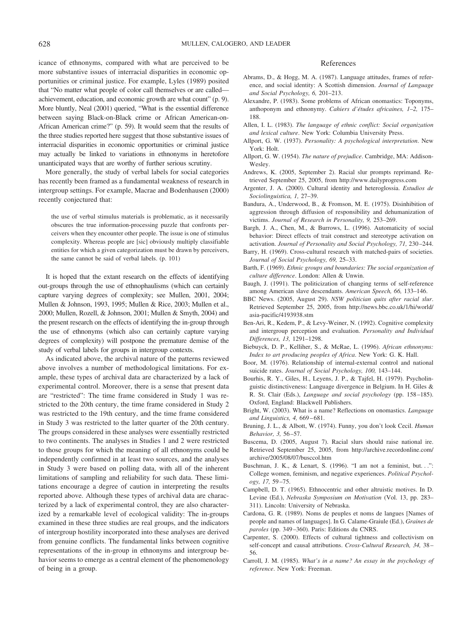icance of ethnonyms, compared with what are perceived to be more substantive issues of interracial disparities in economic opportunities or criminal justice. For example, Lyles (1989) posited that "No matter what people of color call themselves or are called achievement, education, and economic growth are what count" (p. 9). More bluntly, Neal (2001) queried, "What is the essential difference between saying Black-on-Black crime or African American-on-African American crime?" (p. 59). It would seem that the results of the three studies reported here suggest that those substantive issues of interracial disparities in economic opportunities or criminal justice may actually be linked to variations in ethnonyms in heretofore unanticipated ways that are worthy of further serious scrutiny.

More generally, the study of verbal labels for social categories has recently been framed as a fundamental weakness of research in intergroup settings. For example, Macrae and Bodenhausen (2000) recently conjectured that:

the use of verbal stimulus materials is problematic, as it necessarily obscures the true information-processing puzzle that confronts perceivers when they encounter other people. The issue is one of stimulus complexity. Whereas people are [sic] obviously multiply classifiable entities for which a given categorization must be drawn by perceivers, the same cannot be said of verbal labels. (p. 101)

It is hoped that the extant research on the effects of identifying out-groups through the use of ethnophaulisms (which can certainly capture varying degrees of complexity; see Mullen, 2001, 2004; Mullen & Johnson, 1993, 1995; Mullen & Rice, 2003; Mullen et al., 2000; Mullen, Rozell, & Johnson, 2001; Mullen & Smyth, 2004) and the present research on the effects of identifying the in-group through the use of ethnonyms (which also can certainly capture varying degrees of complexity) will postpone the premature demise of the study of verbal labels for groups in intergroup contexts.

As indicated above, the archival nature of the patterns reviewed above involves a number of methodological limitations. For example, these types of archival data are characterized by a lack of experimental control. Moreover, there is a sense that present data are "restricted": The time frame considered in Study 1 was restricted to the 20th century, the time frame considered in Study 2 was restricted to the 19th century, and the time frame considered in Study 3 was restricted to the latter quarter of the 20th century. The groups considered in these analyses were essentially restricted to two continents. The analyses in Studies 1 and 2 were restricted to those groups for which the meaning of all ethnonyms could be independently confirmed in at least two sources, and the analyses in Study 3 were based on polling data, with all of the inherent limitations of sampling and reliability for such data. These limitations encourage a degree of caution in interpreting the results reported above. Although these types of archival data are characterized by a lack of experimental control, they are also characterized by a remarkable level of ecological validity: The in-groups examined in these three studies are real groups, and the indicators of intergroup hostility incorporated into these analyses are derived from genuine conflicts. The fundamental links between cognitive representations of the in-group in ethnonyms and intergroup behavior seems to emerge as a central element of the phenomenology of being in a group.

#### References

- Abrams, D., & Hogg, M. A. (1987). Language attitudes, frames of reference, and social identity: A Scottish dimension. *Journal of Language and Social Psychology, 6,* 201–213.
- Alexandre, P. (1983). Some problems of African onomastics: Toponyms, anthoponym and ethnonymy. *Cahiers d'e´tudes africaines, 1–2,* 175– 188.
- Allen, I. L. (1983). *The language of ethnic conflict: Social organization and lexical culture*. New York: Columbia University Press.
- Allport, G. W. (1937). *Personality: A psychological interpretation*. New York: Holt.
- Allport, G. W. (1954). *The nature of prejudice*. Cambridge, MA: Addison-Wesley.
- Andrews, K. (2005, September 2). Racial slur prompts reprimand. Retrieved September 25, 2005, from http://www.dailyprogress.com
- Argenter, J. A. (2000). Cultural identity and heteroglossia. *Estudios de Sociolinguistica, 1,* 27–39.
- Bandura, A., Underwood, B., & Fromson, M. E. (1975). Disinhibition of aggression through diffusion of responsibility and dehumanization of victims. *Journal of Research in Personality, 9,* 253–269.
- Bargh, J. A., Chen, M., & Burrows, L. (1996). Automaticity of social behavior: Direct effects of trait construct and stereotype activation on activation. *Journal of Personality and Social Psychology, 71,* 230–244.
- Barry, H. (1969). Cross-cultural research with matched-pairs of societies. *Journal of Social Psychology, 69,* 25–33.
- Barth, F. (1969). *Ethnic groups and boundaries: The social organization of culture difference*. London: Allen & Unwin.
- Baugh, J. (1991). The politicization of changing terms of self-reference among American slave descendants. *American Speech, 66,* 133–146.
- BBC News. (2005, August 29). *NSW politician quits after racial slur*. Retrieved September 25, 2005, from http://news.bbc.co.uk/1/hi/world/ asia-pacific/4193938.stm
- Ben-Ari, R., Kedem, P., & Levy-Weiner, N. (1992). Cognitive complexity and intergroup perception and evaluation. *Personality and Individual Differences, 13,* 1291–1298.
- Biebuyck, D. P., Kelliher, S., & McRae, L. (1996). *African ethnonyms: Index to art producing peoples of Africa*. New York: G. K. Hall.
- Boor, M. (1976). Relationship of internal-external control and national suicide rates. *Journal of Social Psychology, 100,* 143–144.
- Bourhis, R. Y., Giles, H., Leyens, J. P., & Tajfel, H. (1979). Psycholinguistic distinctiveness: Language divergence in Belgium. In H. Giles & R. St. Clair (Eds.), *Language and social psychology* (pp. 158–185). Oxford, England: Blackwell Publishers.
- Bright, W. (2003). What is a name? Reflections on onomastics. *Language and Linguistics, 4,* 669–681.
- Bruning, J. L., & Albott, W. (1974). Funny, you don't look Cecil. *Human Behavior, 3,* 56–57.
- Buscema, D. (2005, August 7). Racial slurs should raise national ire. Retrieved September 25, 2005, from http://archive.recordonline.com/ archive/2005/08/07/busccol.htm
- Buschman, J. K., & Lenart, S. (1996). "I am not a feminist, but. . .": College women, feminism, and negative experiences. *Political Psychology, 17,* 59–75.
- Campbell, D. T. (1965). Ethnocentric and other altruistic motives. In D. Levine (Ed.), *Nebraska Symposium on Motivation* (Vol. 13, pp. 283– 311). Lincoln: University of Nebraska.
- Cardona, G. R. (1989). Noms de peuples et noms de langues [Names of people and names of languages]. In G. Calame-Graiule (Ed.), *Graines de paroles* (pp. 349–360). Paris: Editions du CNRS.
- Carpenter, S. (2000). Effects of cultural tightness and collectivism on self-concept and causal attributions. *Cross-Cultural Research, 34,* 38– 56.
- Carroll, J. M. (1985). *What's in a name? An essay in the psychology of reference*. New York: Freeman.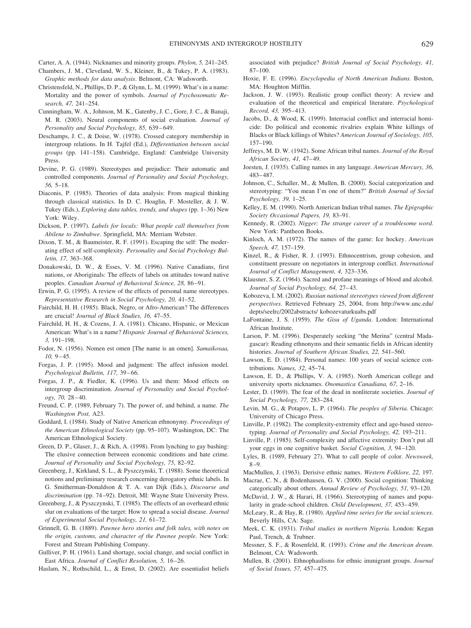- Carter, A. A. (1944). Nicknames and minority groups. *Phylon, 5,* 241–245.
- Chambers, J. M., Cleveland, W. S., Kleiner, B., & Tukey, P. A. (1983). *Graphic methods for data analysis*. Belmont, CA: Wadsworth.
- Christensfeld, N., Phillips, D. P., & Glynn, L. M. (1999). What's in a name: Mortality and the power of symbols. *Journal of Psychosomatic Research, 47,* 241–254.
- Cunningham, W. A., Johnson, M. K., Gatenby, J. C., Gore, J. C., & Banaji, M. R. (2003). Neural components of social evaluation. *Journal of Personality and Social Psychology, 85,* 639–649.
- Deschamps, J. C., & Doise, W. (1978). Crossed category membership in intergroup relations. In H. Tajfel (Ed.), *Differentiation between social groups* (pp. 141–158). Cambridge, England: Cambridge University Press.
- Devine, P. G. (1989). Stereotypes and prejudice: Their automatic and controlled components. *Journal of Personality and Social Psychology, 56,* 5–18.
- Diaconis, P. (1985). Theories of data analysis: From magical thinking through classical statistics. In D. C. Hoaglin, F. Mosteller, & J. W. Tukey (Eds.), *Exploring data tables, trends, and shapes* (pp. 1–36) New York: Wiley.
- Dickson, P. (1997). *Labels for locals: What people call themselves from Abilene to Zimbabwe*. Springfield, MA: Merriam Webster.
- Dixon, T. M., & Baumeister, R. F. (1991). Escaping the self: The moderating effect of self-complexity. *Personality and Social Psychology Bulletin, 17,* 363–368.
- Donakowski, D. W., & Esses, V. M. (1996). Native Canadians, first nations, or Aboriginals: The effects of labels on attitudes toward native peoples. *Canadian Journal of Behavioral Science, 28,* 86–91.
- Erwin, P. G. (1995). A review of the effects of personal name stereotypes. *Representative Research in Social Psychology, 20,* 41–52.
- Fairchild, H. H. (1985). Black, Negro, or Afro-American? The differences are crucial! *Journal of Black Studies, 16,* 47–55.
- Fairchild, H. H., & Cozens, J. A. (1981). Chicano, Hispanic, or Mexican American: What's in a name? *Hispanic Journal of Behavioral Sciences, 3,* 191–198.
- Fodor, N. (1956). Nomen est omen [The name is an omen]. *Samaikosaa, 10,* 9–45.
- Forgas, J. P. (1995). Mood and judgment: The affect infusion model. *Psychological Bulletin, 117,* 39–66.
- Forgas, J. P., & Fiedler, K. (1996). Us and them: Mood effects on intergroup discrimination. *Journal of Personality and Social Psychology, 70,* 28–40.
- Freund, C. P. (1989, February 7). The power of, and behind, a name. *The Washington Post,* A23.
- Goddard, I. (1984). Study of Native American ethnonymy. *Proceedings of the American Ethnological Society* (pp. 95–107). Washington, DC: The American Ethnological Society.
- Green, D. P., Glaser, J., & Rich, A. (1998). From lynching to gay bashing: The elusive connection between economic conditions and hate crime. *Journal of Personality and Social Psychology, 75,* 82–92.
- Greenberg, J., Kirkland, S. L., & Pyszczynski, T. (1988). Some theoretical notions and preliminary research concerning derogatory ethnic labels. In G. Smitherman-Donaldson & T. A. van Dijk (Eds.), *Discourse and discrimination* (pp. 74–92). Detroit, MI: Wayne State University Press.
- Greenberg, J., & Pyszczynski, T. (1985). The effects of an overheard ethnic slur on evaluations of the target: How to spread a social disease. *Journal of Experimental Social Psychology, 21,* 61–72.
- Grinnell, G. B. (1889). *Pawnee hero stories and folk tales, with notes on the origin, customs, and character of the Pawnee people.* New York: Forest and Stream Publishing Company.
- Gulliver, P. H. (1961). Land shortage, social change, and social conflict in East Africa. *Journal of Conflict Resolution, 5,* 16–26.
- Haslam, N., Rothschild, L., & Ernst, D. (2002). Are essentialist beliefs

associated with prejudice? *British Journal of Social Psychology, 41,* 87–100.

- Hoxie, F. E. (1996). *Encyclopedia of North American Indians*. Boston, MA: Houghton Mifflin.
- Jackson, J. W. (1993). Realistic group conflict theory: A review and evaluation of the theoretical and empirical literature. *Psychological Record, 43,* 395–413.
- Jacobs, D., & Wood, K. (1999). Interracial conflict and interracial homicide: Do political and economic rivalries explain White killings of Blacks or Black killings of Whites? *American Journal of Sociology, 105,* 157–190.
- Jeffreys, M. D. W. (1942). Some African tribal names. *Journal of the Royal African Society, 41,* 47–49.
- Joesten, J. (1935). Calling names in any language. *American Mercury, 36,* 483–487.
- Johnson, C., Schaller, M., & Mullen, B. (2000). Social categorization and stereotyping: "You mean I'm one of them?" *British Journal of Social Psychology, 39,* 1–25.
- Kelley, E. M. (1990). North American Indian tribal names. *The Epigraphic Society Occasional Papers, 19,* 83–91.
- Kennedy, R. (2002). *Nigger: The strange career of a troublesome word*. New York: Pantheon Books.
- Kinloch, A. M. (1972). The names of the game: Ice hockey. *American Speech, 47,* 157–159.
- Kinzel, R., & Fisher, R. J. (1993). Ethnocentrism, group cohesion, and constituent pressure on negotiators in intergroup conflict. *International Journal of Conflict Management, 4,* 323–336.
- Klausner, S. Z. (1964). Sacred and profane meanings of blood and alcohol. *Journal of Social Psychology, 64,* 27–43.
- Kobozeva, I. M. (2002). *Russian national stereotypes viewed from different perspectives*. Retrieved February 25, 2004, from http://www.unc.edu/ depts/seelrc/2002abstracts/ kobozevaturkuabs.pdf
- LaFontaine, J. S. (1959). *The Gisu of Uganda*. London: International African Institute.
- Larson, P. M. (1996). Desperately seeking "the Merina" (central Madagascar): Reading ethnonyms and their semantic fields in African identity histories. *Journal of Southern African Studies, 22,* 541–560.
- Lawson, E. D. (1984). Personal names: 100 years of social science contributions. *Names, 32,* 45–74.
- Lawson, E. D., & Phillips, V. A. (1985). North American college and university sports nicknames. *Onomastica Canadiana, 67,* 2–16.
- Lester, D. (1969). The fear of the dead in nonliterate societies. *Journal of Social Psychology, 77,* 283–284.
- Levin, M. G., & Potapov, L. P. (1964). *The peoples of Siberia*. Chicago: University of Chicago Press.
- Linville, P. (1982). The complexity-extremity effect and age-based stereotyping. *Journal of Personality and Social Psychology, 42,* 193–211.
- Linville, P. (1985). Self-complexity and affective extremity: Don't put all your eggs in one cognitive basket. *Social Cognition, 3,* 94–120.
- Lyles, B. (1989, February 27). What to call people of color. *Newsweek,* 8–9.
- MacMullen, J. (1963). Derisive ethnic names. *Western Folklore, 22,* 197.
- Macrae, C. N., & Bodenhausen, G. V. (2000). Social cognition: Thinking categorically about others. *Annual Review of Psychology, 51,* 93–120.
- McDavid, J. W., & Harari, H. (1966). Stereotyping of names and popularity in grade-school children. *Child Development, 37,* 453–459.
- McLeary, R., & Hay, R. (1980). *Applied time series for the social sciences*. Beverly Hills, CA: Sage.
- Meek, C. K. (1931). *Tribal studies in northern Nigeria*. London: Kegan Paul, Trench, & Trubner.
- Messner, S. F., & Rosenfeld, R. (1993). *Crime and the American dream*. Belmont, CA: Wadsworth.
- Mullen, B. (2001). Ethnophaulisms for ethnic immigrant groups. *Journal of Social Issues, 57,* 457–475.